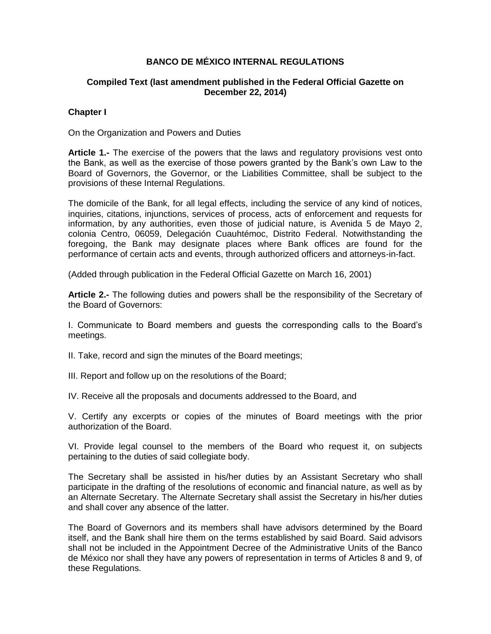# **BANCO DE MÉXICO INTERNAL REGULATIONS**

## **Compiled Text (last amendment published in the Federal Official Gazette on December 22, 2014)**

### **Chapter I**

On the Organization and Powers and Duties

**Article 1.-** The exercise of the powers that the laws and regulatory provisions vest onto the Bank, as well as the exercise of those powers granted by the Bank's own Law to the Board of Governors, the Governor, or the Liabilities Committee, shall be subject to the provisions of these Internal Regulations.

The domicile of the Bank, for all legal effects, including the service of any kind of notices, inquiries, citations, injunctions, services of process, acts of enforcement and requests for information, by any authorities, even those of judicial nature, is Avenida 5 de Mayo 2, colonia Centro, 06059, Delegación Cuauhtémoc, Distrito Federal. Notwithstanding the foregoing, the Bank may designate places where Bank offices are found for the performance of certain acts and events, through authorized officers and attorneys-in-fact.

(Added through publication in the Federal Official Gazette on March 16, 2001)

**Article 2.-** The following duties and powers shall be the responsibility of the Secretary of the Board of Governors:

I. Communicate to Board members and guests the corresponding calls to the Board's meetings.

II. Take, record and sign the minutes of the Board meetings;

III. Report and follow up on the resolutions of the Board;

IV. Receive all the proposals and documents addressed to the Board, and

V. Certify any excerpts or copies of the minutes of Board meetings with the prior authorization of the Board.

VI. Provide legal counsel to the members of the Board who request it, on subjects pertaining to the duties of said collegiate body.

The Secretary shall be assisted in his/her duties by an Assistant Secretary who shall participate in the drafting of the resolutions of economic and financial nature, as well as by an Alternate Secretary. The Alternate Secretary shall assist the Secretary in his/her duties and shall cover any absence of the latter.

The Board of Governors and its members shall have advisors determined by the Board itself, and the Bank shall hire them on the terms established by said Board. Said advisors shall not be included in the Appointment Decree of the Administrative Units of the Banco de México nor shall they have any powers of representation in terms of Articles 8 and 9, of these Regulations.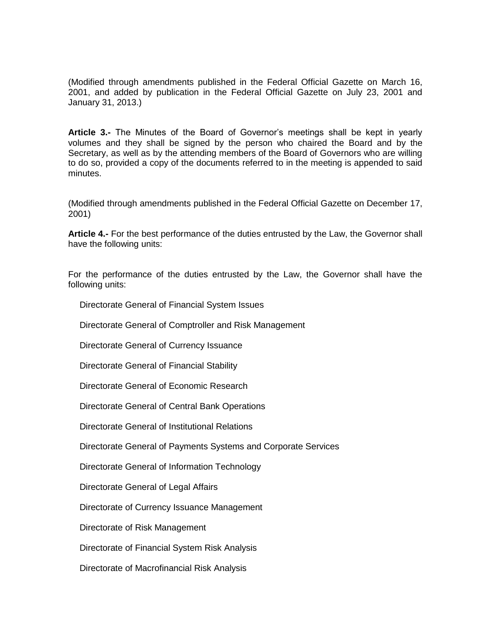(Modified through amendments published in the Federal Official Gazette on March 16, 2001, and added by publication in the Federal Official Gazette on July 23, 2001 and January 31, 2013.)

**Article 3.-** The Minutes of the Board of Governor's meetings shall be kept in yearly volumes and they shall be signed by the person who chaired the Board and by the Secretary, as well as by the attending members of the Board of Governors who are willing to do so, provided a copy of the documents referred to in the meeting is appended to said minutes.

(Modified through amendments published in the Federal Official Gazette on December 17, 2001)

**Article 4.-** For the best performance of the duties entrusted by the Law, the Governor shall have the following units:

For the performance of the duties entrusted by the Law, the Governor shall have the following units:

Directorate General of Financial System Issues

Directorate General of Comptroller and Risk Management

Directorate General of Currency Issuance

Directorate General of Financial Stability

Directorate General of Economic Research

Directorate General of Central Bank Operations

Directorate General of Institutional Relations

Directorate General of Payments Systems and Corporate Services

Directorate General of Information Technology

Directorate General of Legal Affairs

Directorate of Currency Issuance Management

Directorate of Risk Management

Directorate of Financial System Risk Analysis

Directorate of Macrofinancial Risk Analysis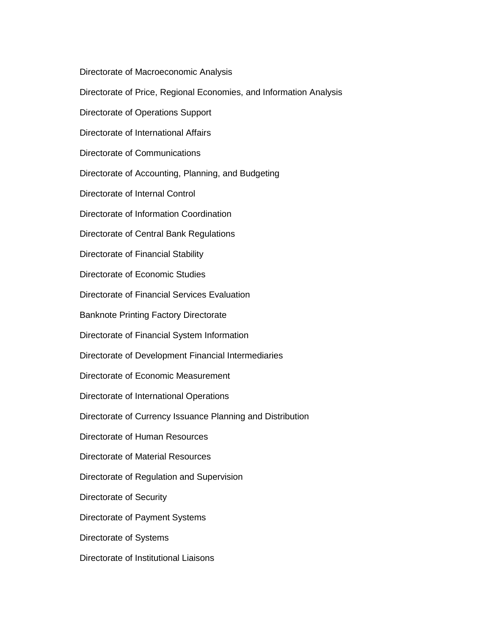Directorate of Macroeconomic Analysis

Directorate of Price, Regional Economies, and Information Analysis

Directorate of Operations Support

Directorate of International Affairs

Directorate of Communications

Directorate of Accounting, Planning, and Budgeting

Directorate of Internal Control

Directorate of Information Coordination

Directorate of Central Bank Regulations

Directorate of Financial Stability

Directorate of Economic Studies

Directorate of Financial Services Evaluation

Banknote Printing Factory Directorate

Directorate of Financial System Information

Directorate of Development Financial Intermediaries

Directorate of Economic Measurement

Directorate of International Operations

Directorate of Currency Issuance Planning and Distribution

Directorate of Human Resources

Directorate of Material Resources

Directorate of Regulation and Supervision

Directorate of Security

Directorate of Payment Systems

Directorate of Systems

Directorate of Institutional Liaisons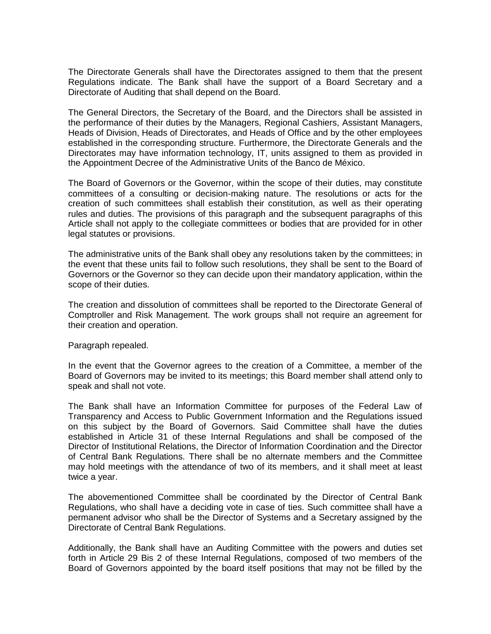The Directorate Generals shall have the Directorates assigned to them that the present Regulations indicate. The Bank shall have the support of a Board Secretary and a Directorate of Auditing that shall depend on the Board.

The General Directors, the Secretary of the Board, and the Directors shall be assisted in the performance of their duties by the Managers, Regional Cashiers, Assistant Managers, Heads of Division, Heads of Directorates, and Heads of Office and by the other employees established in the corresponding structure. Furthermore, the Directorate Generals and the Directorates may have information technology, IT, units assigned to them as provided in the Appointment Decree of the Administrative Units of the Banco de México.

The Board of Governors or the Governor, within the scope of their duties, may constitute committees of a consulting or decision-making nature. The resolutions or acts for the creation of such committees shall establish their constitution, as well as their operating rules and duties. The provisions of this paragraph and the subsequent paragraphs of this Article shall not apply to the collegiate committees or bodies that are provided for in other legal statutes or provisions.

The administrative units of the Bank shall obey any resolutions taken by the committees; in the event that these units fail to follow such resolutions, they shall be sent to the Board of Governors or the Governor so they can decide upon their mandatory application, within the scope of their duties.

The creation and dissolution of committees shall be reported to the Directorate General of Comptroller and Risk Management. The work groups shall not require an agreement for their creation and operation.

#### Paragraph repealed.

In the event that the Governor agrees to the creation of a Committee, a member of the Board of Governors may be invited to its meetings; this Board member shall attend only to speak and shall not vote.

The Bank shall have an Information Committee for purposes of the Federal Law of Transparency and Access to Public Government Information and the Regulations issued on this subject by the Board of Governors. Said Committee shall have the duties established in Article 31 of these Internal Regulations and shall be composed of the Director of Institutional Relations, the Director of Information Coordination and the Director of Central Bank Regulations. There shall be no alternate members and the Committee may hold meetings with the attendance of two of its members, and it shall meet at least twice a year.

The abovementioned Committee shall be coordinated by the Director of Central Bank Regulations, who shall have a deciding vote in case of ties. Such committee shall have a permanent advisor who shall be the Director of Systems and a Secretary assigned by the Directorate of Central Bank Regulations.

Additionally, the Bank shall have an Auditing Committee with the powers and duties set forth in Article 29 Bis 2 of these Internal Regulations, composed of two members of the Board of Governors appointed by the board itself positions that may not be filled by the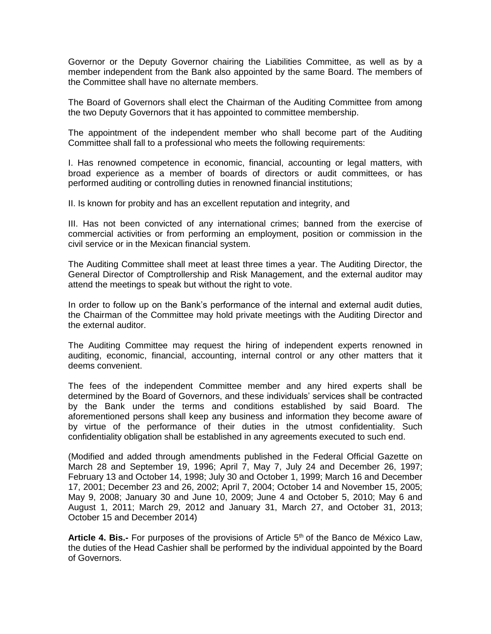Governor or the Deputy Governor chairing the Liabilities Committee, as well as by a member independent from the Bank also appointed by the same Board. The members of the Committee shall have no alternate members.

The Board of Governors shall elect the Chairman of the Auditing Committee from among the two Deputy Governors that it has appointed to committee membership.

The appointment of the independent member who shall become part of the Auditing Committee shall fall to a professional who meets the following requirements:

I. Has renowned competence in economic, financial, accounting or legal matters, with broad experience as a member of boards of directors or audit committees, or has performed auditing or controlling duties in renowned financial institutions;

II. Is known for probity and has an excellent reputation and integrity, and

III. Has not been convicted of any international crimes; banned from the exercise of commercial activities or from performing an employment, position or commission in the civil service or in the Mexican financial system.

The Auditing Committee shall meet at least three times a year. The Auditing Director, the General Director of Comptrollership and Risk Management, and the external auditor may attend the meetings to speak but without the right to vote.

In order to follow up on the Bank's performance of the internal and external audit duties, the Chairman of the Committee may hold private meetings with the Auditing Director and the external auditor.

The Auditing Committee may request the hiring of independent experts renowned in auditing, economic, financial, accounting, internal control or any other matters that it deems convenient.

The fees of the independent Committee member and any hired experts shall be determined by the Board of Governors, and these individuals' services shall be contracted by the Bank under the terms and conditions established by said Board. The aforementioned persons shall keep any business and information they become aware of by virtue of the performance of their duties in the utmost confidentiality. Such confidentiality obligation shall be established in any agreements executed to such end.

(Modified and added through amendments published in the Federal Official Gazette on March 28 and September 19, 1996; April 7, May 7, July 24 and December 26, 1997; February 13 and October 14, 1998; July 30 and October 1, 1999; March 16 and December 17, 2001; December 23 and 26, 2002; April 7, 2004; October 14 and November 15, 2005; May 9, 2008; January 30 and June 10, 2009; June 4 and October 5, 2010; May 6 and August 1, 2011; March 29, 2012 and January 31, March 27, and October 31, 2013; October 15 and December 2014)

Article 4. Bis.- For purposes of the provisions of Article 5<sup>th</sup> of the Banco de México Law, the duties of the Head Cashier shall be performed by the individual appointed by the Board of Governors.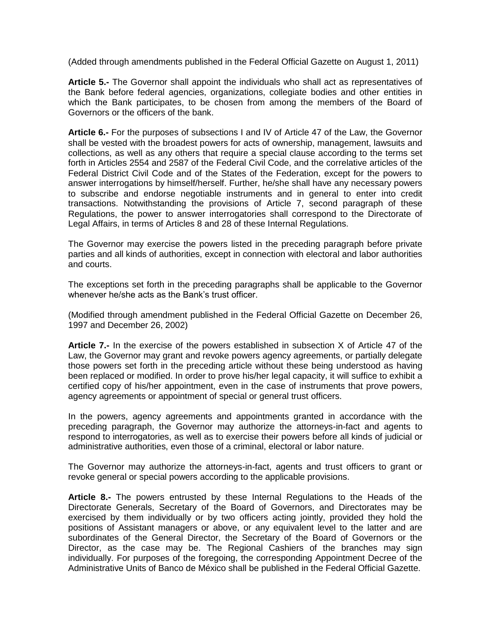(Added through amendments published in the Federal Official Gazette on August 1, 2011)

**Article 5.-** The Governor shall appoint the individuals who shall act as representatives of the Bank before federal agencies, organizations, collegiate bodies and other entities in which the Bank participates, to be chosen from among the members of the Board of Governors or the officers of the bank.

**Article 6.-** For the purposes of subsections I and IV of Article 47 of the Law, the Governor shall be vested with the broadest powers for acts of ownership, management, lawsuits and collections, as well as any others that require a special clause according to the terms set forth in Articles 2554 and 2587 of the Federal Civil Code, and the correlative articles of the Federal District Civil Code and of the States of the Federation, except for the powers to answer interrogations by himself/herself. Further, he/she shall have any necessary powers to subscribe and endorse negotiable instruments and in general to enter into credit transactions. Notwithstanding the provisions of Article 7, second paragraph of these Regulations, the power to answer interrogatories shall correspond to the Directorate of Legal Affairs, in terms of Articles 8 and 28 of these Internal Regulations.

The Governor may exercise the powers listed in the preceding paragraph before private parties and all kinds of authorities, except in connection with electoral and labor authorities and courts.

The exceptions set forth in the preceding paragraphs shall be applicable to the Governor whenever he/she acts as the Bank's trust officer.

(Modified through amendment published in the Federal Official Gazette on December 26, 1997 and December 26, 2002)

**Article 7.-** In the exercise of the powers established in subsection X of Article 47 of the Law, the Governor may grant and revoke powers agency agreements, or partially delegate those powers set forth in the preceding article without these being understood as having been replaced or modified. In order to prove his/her legal capacity, it will suffice to exhibit a certified copy of his/her appointment, even in the case of instruments that prove powers, agency agreements or appointment of special or general trust officers.

In the powers, agency agreements and appointments granted in accordance with the preceding paragraph, the Governor may authorize the attorneys-in-fact and agents to respond to interrogatories, as well as to exercise their powers before all kinds of judicial or administrative authorities, even those of a criminal, electoral or labor nature.

The Governor may authorize the attorneys-in-fact, agents and trust officers to grant or revoke general or special powers according to the applicable provisions.

**Article 8.-** The powers entrusted by these Internal Regulations to the Heads of the Directorate Generals, Secretary of the Board of Governors, and Directorates may be exercised by them individually or by two officers acting jointly, provided they hold the positions of Assistant managers or above, or any equivalent level to the latter and are subordinates of the General Director, the Secretary of the Board of Governors or the Director, as the case may be. The Regional Cashiers of the branches may sign individually. For purposes of the foregoing, the corresponding Appointment Decree of the Administrative Units of Banco de México shall be published in the Federal Official Gazette.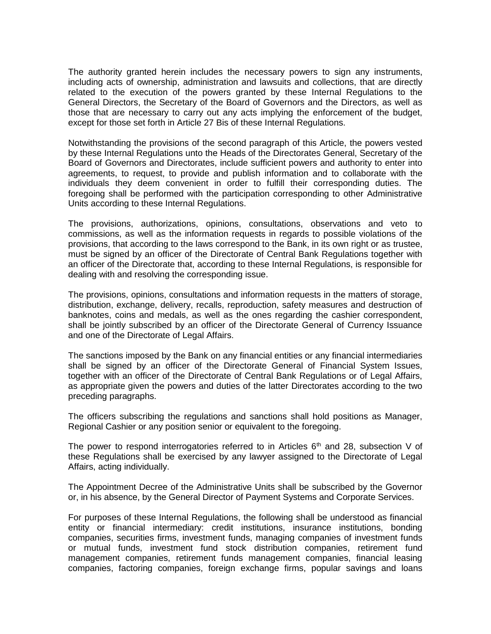The authority granted herein includes the necessary powers to sign any instruments, including acts of ownership, administration and lawsuits and collections, that are directly related to the execution of the powers granted by these Internal Regulations to the General Directors, the Secretary of the Board of Governors and the Directors, as well as those that are necessary to carry out any acts implying the enforcement of the budget, except for those set forth in Article 27 Bis of these Internal Regulations.

Notwithstanding the provisions of the second paragraph of this Article, the powers vested by these Internal Regulations unto the Heads of the Directorates General, Secretary of the Board of Governors and Directorates, include sufficient powers and authority to enter into agreements, to request, to provide and publish information and to collaborate with the individuals they deem convenient in order to fulfill their corresponding duties. The foregoing shall be performed with the participation corresponding to other Administrative Units according to these Internal Regulations.

The provisions, authorizations, opinions, consultations, observations and veto to commissions, as well as the information requests in regards to possible violations of the provisions, that according to the laws correspond to the Bank, in its own right or as trustee, must be signed by an officer of the Directorate of Central Bank Regulations together with an officer of the Directorate that, according to these Internal Regulations, is responsible for dealing with and resolving the corresponding issue.

The provisions, opinions, consultations and information requests in the matters of storage, distribution, exchange, delivery, recalls, reproduction, safety measures and destruction of banknotes, coins and medals, as well as the ones regarding the cashier correspondent, shall be jointly subscribed by an officer of the Directorate General of Currency Issuance and one of the Directorate of Legal Affairs.

The sanctions imposed by the Bank on any financial entities or any financial intermediaries shall be signed by an officer of the Directorate General of Financial System Issues, together with an officer of the Directorate of Central Bank Regulations or of Legal Affairs, as appropriate given the powers and duties of the latter Directorates according to the two preceding paragraphs.

The officers subscribing the regulations and sanctions shall hold positions as Manager, Regional Cashier or any position senior or equivalent to the foregoing.

The power to respond interrogatories referred to in Articles  $6<sup>th</sup>$  and 28, subsection V of these Regulations shall be exercised by any lawyer assigned to the Directorate of Legal Affairs, acting individually.

The Appointment Decree of the Administrative Units shall be subscribed by the Governor or, in his absence, by the General Director of Payment Systems and Corporate Services.

For purposes of these Internal Regulations, the following shall be understood as financial entity or financial intermediary: credit institutions, insurance institutions, bonding companies, securities firms, investment funds, managing companies of investment funds or mutual funds, investment fund stock distribution companies, retirement fund management companies, retirement funds management companies, financial leasing companies, factoring companies, foreign exchange firms, popular savings and loans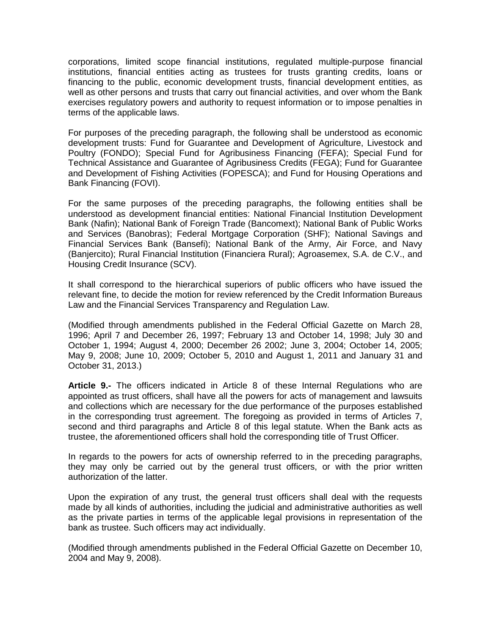corporations, limited scope financial institutions, regulated multiple-purpose financial institutions, financial entities acting as trustees for trusts granting credits, loans or financing to the public, economic development trusts, financial development entities, as well as other persons and trusts that carry out financial activities, and over whom the Bank exercises regulatory powers and authority to request information or to impose penalties in terms of the applicable laws.

For purposes of the preceding paragraph, the following shall be understood as economic development trusts: Fund for Guarantee and Development of Agriculture, Livestock and Poultry (FONDO); Special Fund for Agribusiness Financing (FEFA); Special Fund for Technical Assistance and Guarantee of Agribusiness Credits (FEGA); Fund for Guarantee and Development of Fishing Activities (FOPESCA); and Fund for Housing Operations and Bank Financing (FOVI).

For the same purposes of the preceding paragraphs, the following entities shall be understood as development financial entities: National Financial Institution Development Bank (Nafin); National Bank of Foreign Trade (Bancomext); National Bank of Public Works and Services (Banobras); Federal Mortgage Corporation (SHF); National Savings and Financial Services Bank (Bansefi); National Bank of the Army, Air Force, and Navy (Banjercito); Rural Financial Institution (Financiera Rural); Agroasemex, S.A. de C.V., and Housing Credit Insurance (SCV).

It shall correspond to the hierarchical superiors of public officers who have issued the relevant fine, to decide the motion for review referenced by the Credit Information Bureaus Law and the Financial Services Transparency and Regulation Law.

(Modified through amendments published in the Federal Official Gazette on March 28, 1996; April 7 and December 26, 1997; February 13 and October 14, 1998; July 30 and October 1, 1994; August 4, 2000; December 26 2002; June 3, 2004; October 14, 2005; May 9, 2008; June 10, 2009; October 5, 2010 and August 1, 2011 and January 31 and October 31, 2013.)

**Article 9.-** The officers indicated in Article 8 of these Internal Regulations who are appointed as trust officers, shall have all the powers for acts of management and lawsuits and collections which are necessary for the due performance of the purposes established in the corresponding trust agreement. The foregoing as provided in terms of Articles 7, second and third paragraphs and Article 8 of this legal statute. When the Bank acts as trustee, the aforementioned officers shall hold the corresponding title of Trust Officer.

In regards to the powers for acts of ownership referred to in the preceding paragraphs, they may only be carried out by the general trust officers, or with the prior written authorization of the latter.

Upon the expiration of any trust, the general trust officers shall deal with the requests made by all kinds of authorities, including the judicial and administrative authorities as well as the private parties in terms of the applicable legal provisions in representation of the bank as trustee. Such officers may act individually.

(Modified through amendments published in the Federal Official Gazette on December 10, 2004 and May 9, 2008).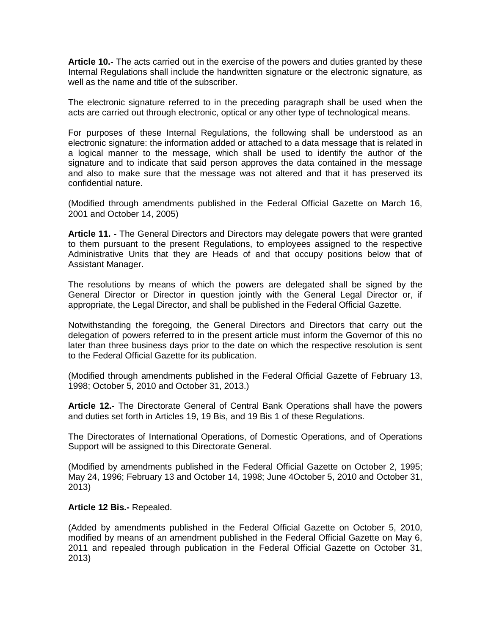**Article 10.-** The acts carried out in the exercise of the powers and duties granted by these Internal Regulations shall include the handwritten signature or the electronic signature, as well as the name and title of the subscriber.

The electronic signature referred to in the preceding paragraph shall be used when the acts are carried out through electronic, optical or any other type of technological means.

For purposes of these Internal Regulations, the following shall be understood as an electronic signature: the information added or attached to a data message that is related in a logical manner to the message, which shall be used to identify the author of the signature and to indicate that said person approves the data contained in the message and also to make sure that the message was not altered and that it has preserved its confidential nature.

(Modified through amendments published in the Federal Official Gazette on March 16, 2001 and October 14, 2005)

**Article 11. -** The General Directors and Directors may delegate powers that were granted to them pursuant to the present Regulations, to employees assigned to the respective Administrative Units that they are Heads of and that occupy positions below that of Assistant Manager.

The resolutions by means of which the powers are delegated shall be signed by the General Director or Director in question jointly with the General Legal Director or, if appropriate, the Legal Director, and shall be published in the Federal Official Gazette.

Notwithstanding the foregoing, the General Directors and Directors that carry out the delegation of powers referred to in the present article must inform the Governor of this no later than three business days prior to the date on which the respective resolution is sent to the Federal Official Gazette for its publication.

(Modified through amendments published in the Federal Official Gazette of February 13, 1998; October 5, 2010 and October 31, 2013.)

**Article 12.-** The Directorate General of Central Bank Operations shall have the powers and duties set forth in Articles 19, 19 Bis, and 19 Bis 1 of these Regulations.

The Directorates of International Operations, of Domestic Operations, and of Operations Support will be assigned to this Directorate General.

(Modified by amendments published in the Federal Official Gazette on October 2, 1995; May 24, 1996; February 13 and October 14, 1998; June 4October 5, 2010 and October 31, 2013)

#### **Article 12 Bis.-** Repealed.

(Added by amendments published in the Federal Official Gazette on October 5, 2010, modified by means of an amendment published in the Federal Official Gazette on May 6, 2011 and repealed through publication in the Federal Official Gazette on October 31, 2013)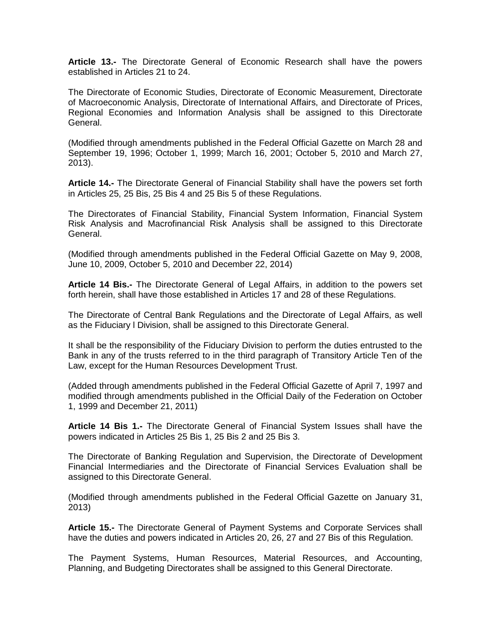**Article 13.-** The Directorate General of Economic Research shall have the powers established in Articles 21 to 24.

The Directorate of Economic Studies, Directorate of Economic Measurement, Directorate of Macroeconomic Analysis, Directorate of International Affairs, and Directorate of Prices, Regional Economies and Information Analysis shall be assigned to this Directorate General.

(Modified through amendments published in the Federal Official Gazette on March 28 and September 19, 1996; October 1, 1999; March 16, 2001; October 5, 2010 and March 27, 2013).

**Article 14.-** The Directorate General of Financial Stability shall have the powers set forth in Articles 25, 25 Bis, 25 Bis 4 and 25 Bis 5 of these Regulations.

The Directorates of Financial Stability, Financial System Information, Financial System Risk Analysis and Macrofinancial Risk Analysis shall be assigned to this Directorate General.

(Modified through amendments published in the Federal Official Gazette on May 9, 2008, June 10, 2009, October 5, 2010 and December 22, 2014)

**Article 14 Bis.-** The Directorate General of Legal Affairs, in addition to the powers set forth herein, shall have those established in Articles 17 and 28 of these Regulations.

The Directorate of Central Bank Regulations and the Directorate of Legal Affairs, as well as the Fiduciary l Division, shall be assigned to this Directorate General.

It shall be the responsibility of the Fiduciary Division to perform the duties entrusted to the Bank in any of the trusts referred to in the third paragraph of Transitory Article Ten of the Law, except for the Human Resources Development Trust.

(Added through amendments published in the Federal Official Gazette of April 7, 1997 and modified through amendments published in the Official Daily of the Federation on October 1, 1999 and December 21, 2011)

**Article 14 Bis 1.-** The Directorate General of Financial System Issues shall have the powers indicated in Articles 25 Bis 1, 25 Bis 2 and 25 Bis 3.

The Directorate of Banking Regulation and Supervision, the Directorate of Development Financial Intermediaries and the Directorate of Financial Services Evaluation shall be assigned to this Directorate General.

(Modified through amendments published in the Federal Official Gazette on January 31, 2013)

**Article 15.-** The Directorate General of Payment Systems and Corporate Services shall have the duties and powers indicated in Articles 20, 26, 27 and 27 Bis of this Regulation.

The Payment Systems, Human Resources, Material Resources, and Accounting, Planning, and Budgeting Directorates shall be assigned to this General Directorate.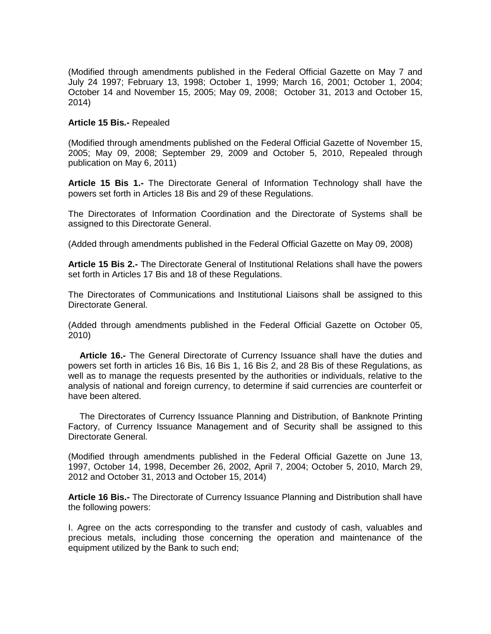(Modified through amendments published in the Federal Official Gazette on May 7 and July 24 1997; February 13, 1998; October 1, 1999; March 16, 2001; October 1, 2004; October 14 and November 15, 2005; May 09, 2008; October 31, 2013 and October 15, 2014)

#### **Article 15 Bis.-** Repealed

(Modified through amendments published on the Federal Official Gazette of November 15, 2005; May 09, 2008; September 29, 2009 and October 5, 2010, Repealed through publication on May 6, 2011)

**Article 15 Bis 1.-** The Directorate General of Information Technology shall have the powers set forth in Articles 18 Bis and 29 of these Regulations.

The Directorates of Information Coordination and the Directorate of Systems shall be assigned to this Directorate General.

(Added through amendments published in the Federal Official Gazette on May 09, 2008)

**Article 15 Bis 2.-** The Directorate General of Institutional Relations shall have the powers set forth in Articles 17 Bis and 18 of these Regulations.

The Directorates of Communications and Institutional Liaisons shall be assigned to this Directorate General.

(Added through amendments published in the Federal Official Gazette on October 05, 2010)

**Article 16.-** The General Directorate of Currency Issuance shall have the duties and powers set forth in articles 16 Bis, 16 Bis 1, 16 Bis 2, and 28 Bis of these Regulations, as well as to manage the requests presented by the authorities or individuals, relative to the analysis of national and foreign currency, to determine if said currencies are counterfeit or have been altered.

The Directorates of Currency Issuance Planning and Distribution, of Banknote Printing Factory, of Currency Issuance Management and of Security shall be assigned to this Directorate General.

(Modified through amendments published in the Federal Official Gazette on June 13, 1997, October 14, 1998, December 26, 2002, April 7, 2004; October 5, 2010, March 29, 2012 and October 31, 2013 and October 15, 2014)

**Article 16 Bis.-** The Directorate of Currency Issuance Planning and Distribution shall have the following powers:

I. Agree on the acts corresponding to the transfer and custody of cash, valuables and precious metals, including those concerning the operation and maintenance of the equipment utilized by the Bank to such end;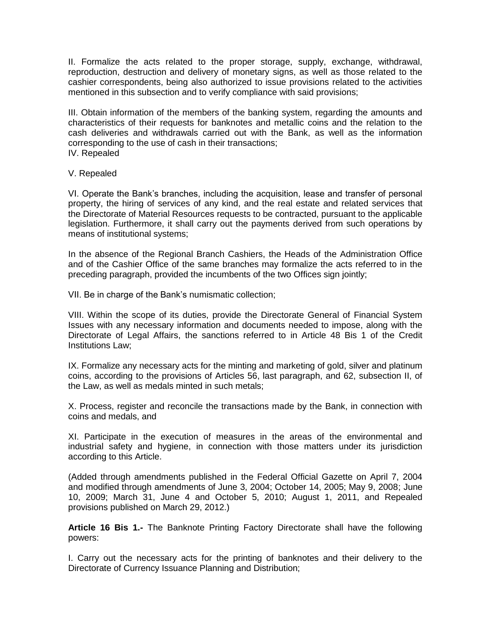II. Formalize the acts related to the proper storage, supply, exchange, withdrawal, reproduction, destruction and delivery of monetary signs, as well as those related to the cashier correspondents, being also authorized to issue provisions related to the activities mentioned in this subsection and to verify compliance with said provisions;

III. Obtain information of the members of the banking system, regarding the amounts and characteristics of their requests for banknotes and metallic coins and the relation to the cash deliveries and withdrawals carried out with the Bank, as well as the information corresponding to the use of cash in their transactions; IV. Repealed

V. Repealed

VI. Operate the Bank's branches, including the acquisition, lease and transfer of personal property, the hiring of services of any kind, and the real estate and related services that the Directorate of Material Resources requests to be contracted, pursuant to the applicable legislation. Furthermore, it shall carry out the payments derived from such operations by means of institutional systems;

In the absence of the Regional Branch Cashiers, the Heads of the Administration Office and of the Cashier Office of the same branches may formalize the acts referred to in the preceding paragraph, provided the incumbents of the two Offices sign jointly;

VII. Be in charge of the Bank's numismatic collection;

VIII. Within the scope of its duties, provide the Directorate General of Financial System Issues with any necessary information and documents needed to impose, along with the Directorate of Legal Affairs, the sanctions referred to in Article 48 Bis 1 of the Credit Institutions Law;

IX. Formalize any necessary acts for the minting and marketing of gold, silver and platinum coins, according to the provisions of Articles 56, last paragraph, and 62, subsection II, of the Law, as well as medals minted in such metals;

X. Process, register and reconcile the transactions made by the Bank, in connection with coins and medals, and

XI. Participate in the execution of measures in the areas of the environmental and industrial safety and hygiene, in connection with those matters under its jurisdiction according to this Article.

(Added through amendments published in the Federal Official Gazette on April 7, 2004 and modified through amendments of June 3, 2004; October 14, 2005; May 9, 2008; June 10, 2009; March 31, June 4 and October 5, 2010; August 1, 2011, and Repealed provisions published on March 29, 2012.)

**Article 16 Bis 1.-** The Banknote Printing Factory Directorate shall have the following powers:

I. Carry out the necessary acts for the printing of banknotes and their delivery to the Directorate of Currency Issuance Planning and Distribution;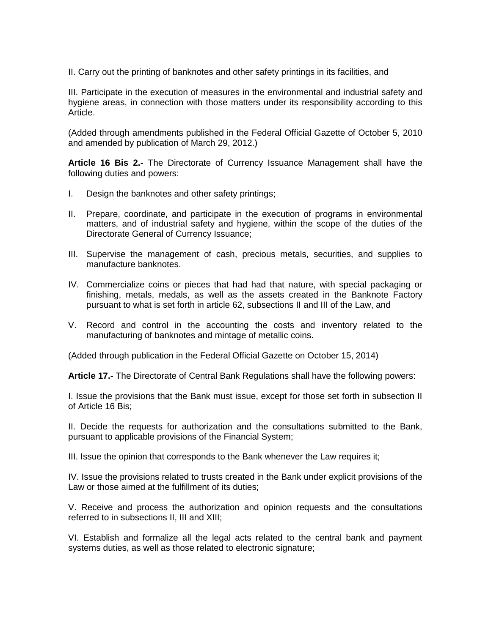II. Carry out the printing of banknotes and other safety printings in its facilities, and

III. Participate in the execution of measures in the environmental and industrial safety and hygiene areas, in connection with those matters under its responsibility according to this Article.

(Added through amendments published in the Federal Official Gazette of October 5, 2010 and amended by publication of March 29, 2012.)

**Article 16 Bis 2.-** The Directorate of Currency Issuance Management shall have the following duties and powers:

- I. Design the banknotes and other safety printings;
- II. Prepare, coordinate, and participate in the execution of programs in environmental matters, and of industrial safety and hygiene, within the scope of the duties of the Directorate General of Currency Issuance;
- III. Supervise the management of cash, precious metals, securities, and supplies to manufacture banknotes.
- IV. Commercialize coins or pieces that had had that nature, with special packaging or finishing, metals, medals, as well as the assets created in the Banknote Factory pursuant to what is set forth in article 62, subsections II and III of the Law, and
- V. Record and control in the accounting the costs and inventory related to the manufacturing of banknotes and mintage of metallic coins.

(Added through publication in the Federal Official Gazette on October 15, 2014)

**Article 17.-** The Directorate of Central Bank Regulations shall have the following powers:

I. Issue the provisions that the Bank must issue, except for those set forth in subsection II of Article 16 Bis;

II. Decide the requests for authorization and the consultations submitted to the Bank, pursuant to applicable provisions of the Financial System;

III. Issue the opinion that corresponds to the Bank whenever the Law requires it;

IV. Issue the provisions related to trusts created in the Bank under explicit provisions of the Law or those aimed at the fulfillment of its duties;

V. Receive and process the authorization and opinion requests and the consultations referred to in subsections II, III and XIII;

VI. Establish and formalize all the legal acts related to the central bank and payment systems duties, as well as those related to electronic signature;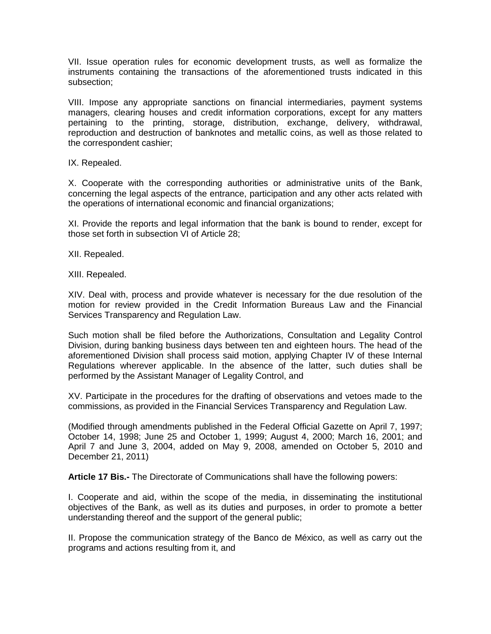VII. Issue operation rules for economic development trusts, as well as formalize the instruments containing the transactions of the aforementioned trusts indicated in this subsection;

VIII. Impose any appropriate sanctions on financial intermediaries, payment systems managers, clearing houses and credit information corporations, except for any matters pertaining to the printing, storage, distribution, exchange, delivery, withdrawal, reproduction and destruction of banknotes and metallic coins, as well as those related to the correspondent cashier;

IX. Repealed.

X. Cooperate with the corresponding authorities or administrative units of the Bank, concerning the legal aspects of the entrance, participation and any other acts related with the operations of international economic and financial organizations;

XI. Provide the reports and legal information that the bank is bound to render, except for those set forth in subsection VI of Article 28;

XII. Repealed.

XIII. Repealed.

XIV. Deal with, process and provide whatever is necessary for the due resolution of the motion for review provided in the Credit Information Bureaus Law and the Financial Services Transparency and Regulation Law.

Such motion shall be filed before the Authorizations, Consultation and Legality Control Division, during banking business days between ten and eighteen hours. The head of the aforementioned Division shall process said motion, applying Chapter IV of these Internal Regulations wherever applicable. In the absence of the latter, such duties shall be performed by the Assistant Manager of Legality Control, and

XV. Participate in the procedures for the drafting of observations and vetoes made to the commissions, as provided in the Financial Services Transparency and Regulation Law.

(Modified through amendments published in the Federal Official Gazette on April 7, 1997; October 14, 1998; June 25 and October 1, 1999; August 4, 2000; March 16, 2001; and April 7 and June 3, 2004, added on May 9, 2008, amended on October 5, 2010 and December 21, 2011)

**Article 17 Bis.-** The Directorate of Communications shall have the following powers:

I. Cooperate and aid, within the scope of the media, in disseminating the institutional objectives of the Bank, as well as its duties and purposes, in order to promote a better understanding thereof and the support of the general public;

II. Propose the communication strategy of the Banco de México, as well as carry out the programs and actions resulting from it, and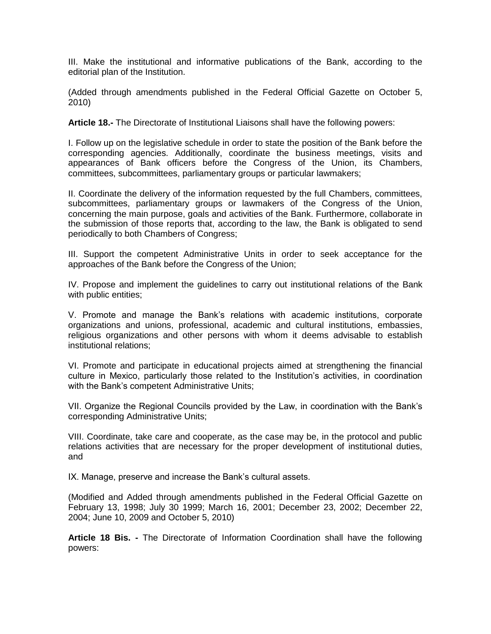III. Make the institutional and informative publications of the Bank, according to the editorial plan of the Institution.

(Added through amendments published in the Federal Official Gazette on October 5, 2010)

**Article 18.-** The Directorate of Institutional Liaisons shall have the following powers:

I. Follow up on the legislative schedule in order to state the position of the Bank before the corresponding agencies. Additionally, coordinate the business meetings, visits and appearances of Bank officers before the Congress of the Union, its Chambers, committees, subcommittees, parliamentary groups or particular lawmakers;

II. Coordinate the delivery of the information requested by the full Chambers, committees, subcommittees, parliamentary groups or lawmakers of the Congress of the Union, concerning the main purpose, goals and activities of the Bank. Furthermore, collaborate in the submission of those reports that, according to the law, the Bank is obligated to send periodically to both Chambers of Congress;

III. Support the competent Administrative Units in order to seek acceptance for the approaches of the Bank before the Congress of the Union;

IV. Propose and implement the guidelines to carry out institutional relations of the Bank with public entities;

V. Promote and manage the Bank's relations with academic institutions, corporate organizations and unions, professional, academic and cultural institutions, embassies, religious organizations and other persons with whom it deems advisable to establish institutional relations;

VI. Promote and participate in educational projects aimed at strengthening the financial culture in Mexico, particularly those related to the Institution's activities, in coordination with the Bank's competent Administrative Units;

VII. Organize the Regional Councils provided by the Law, in coordination with the Bank's corresponding Administrative Units;

VIII. Coordinate, take care and cooperate, as the case may be, in the protocol and public relations activities that are necessary for the proper development of institutional duties, and

IX. Manage, preserve and increase the Bank's cultural assets.

(Modified and Added through amendments published in the Federal Official Gazette on February 13, 1998; July 30 1999; March 16, 2001; December 23, 2002; December 22, 2004; June 10, 2009 and October 5, 2010)

**Article 18 Bis. -** The Directorate of Information Coordination shall have the following powers: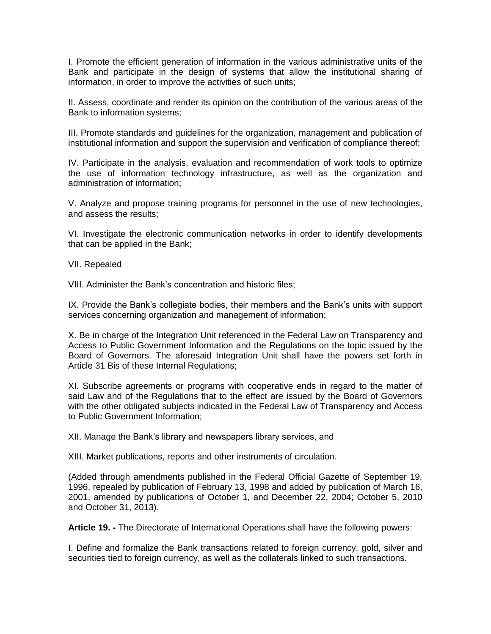I. Promote the efficient generation of information in the various administrative units of the Bank and participate in the design of systems that allow the institutional sharing of information, in order to improve the activities of such units;

II. Assess, coordinate and render its opinion on the contribution of the various areas of the Bank to information systems;

III. Promote standards and guidelines for the organization, management and publication of institutional information and support the supervision and verification of compliance thereof;

IV. Participate in the analysis, evaluation and recommendation of work tools to optimize the use of information technology infrastructure, as well as the organization and administration of information;

V. Analyze and propose training programs for personnel in the use of new technologies, and assess the results;

VI. Investigate the electronic communication networks in order to identify developments that can be applied in the Bank;

VII. Repealed

VIII. Administer the Bank's concentration and historic files;

IX. Provide the Bank's collegiate bodies, their members and the Bank's units with support services concerning organization and management of information;

X. Be in charge of the Integration Unit referenced in the Federal Law on Transparency and Access to Public Government Information and the Regulations on the topic issued by the Board of Governors. The aforesaid Integration Unit shall have the powers set forth in Article 31 Bis of these Internal Regulations;

XI. Subscribe agreements or programs with cooperative ends in regard to the matter of said Law and of the Regulations that to the effect are issued by the Board of Governors with the other obligated subjects indicated in the Federal Law of Transparency and Access to Public Government Information;

XII. Manage the Bank's library and newspapers library services, and

XIII. Market publications, reports and other instruments of circulation.

(Added through amendments published in the Federal Official Gazette of September 19, 1996, repealed by publication of February 13, 1998 and added by publication of March 16, 2001, amended by publications of October 1, and December 22, 2004; October 5, 2010 and October 31, 2013).

**Article 19. -** The Directorate of International Operations shall have the following powers:

I. Define and formalize the Bank transactions related to foreign currency, gold, silver and securities tied to foreign currency, as well as the collaterals linked to such transactions.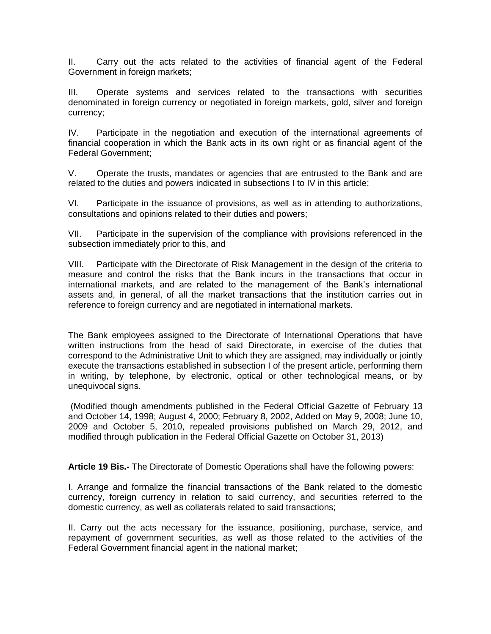II. Carry out the acts related to the activities of financial agent of the Federal Government in foreign markets:

III. Operate systems and services related to the transactions with securities denominated in foreign currency or negotiated in foreign markets, gold, silver and foreign currency;

IV. Participate in the negotiation and execution of the international agreements of financial cooperation in which the Bank acts in its own right or as financial agent of the Federal Government;

V. Operate the trusts, mandates or agencies that are entrusted to the Bank and are related to the duties and powers indicated in subsections I to IV in this article;

VI. Participate in the issuance of provisions, as well as in attending to authorizations, consultations and opinions related to their duties and powers;

VII. Participate in the supervision of the compliance with provisions referenced in the subsection immediately prior to this, and

VIII. Participate with the Directorate of Risk Management in the design of the criteria to measure and control the risks that the Bank incurs in the transactions that occur in international markets, and are related to the management of the Bank's international assets and, in general, of all the market transactions that the institution carries out in reference to foreign currency and are negotiated in international markets.

The Bank employees assigned to the Directorate of International Operations that have written instructions from the head of said Directorate, in exercise of the duties that correspond to the Administrative Unit to which they are assigned, may individually or jointly execute the transactions established in subsection I of the present article, performing them in writing, by telephone, by electronic, optical or other technological means, or by unequivocal signs.

(Modified though amendments published in the Federal Official Gazette of February 13 and October 14, 1998; August 4, 2000; February 8, 2002, Added on May 9, 2008; June 10, 2009 and October 5, 2010, repealed provisions published on March 29, 2012, and modified through publication in the Federal Official Gazette on October 31, 2013)

**Article 19 Bis.-** The Directorate of Domestic Operations shall have the following powers:

I. Arrange and formalize the financial transactions of the Bank related to the domestic currency, foreign currency in relation to said currency, and securities referred to the domestic currency, as well as collaterals related to said transactions;

II. Carry out the acts necessary for the issuance, positioning, purchase, service, and repayment of government securities, as well as those related to the activities of the Federal Government financial agent in the national market;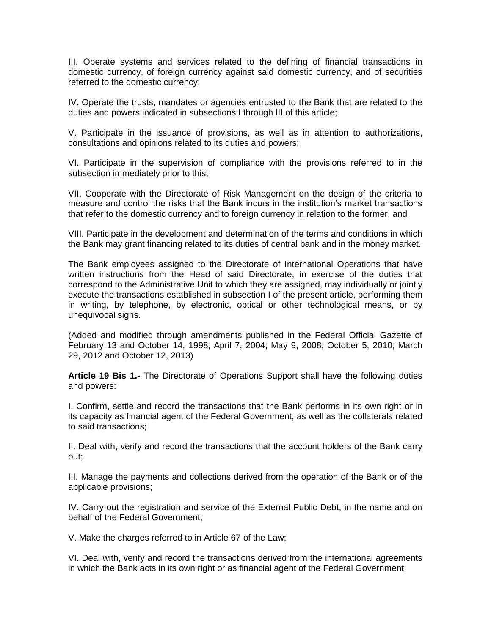III. Operate systems and services related to the defining of financial transactions in domestic currency, of foreign currency against said domestic currency, and of securities referred to the domestic currency;

IV. Operate the trusts, mandates or agencies entrusted to the Bank that are related to the duties and powers indicated in subsections I through III of this article;

V. Participate in the issuance of provisions, as well as in attention to authorizations, consultations and opinions related to its duties and powers;

VI. Participate in the supervision of compliance with the provisions referred to in the subsection immediately prior to this;

VII. Cooperate with the Directorate of Risk Management on the design of the criteria to measure and control the risks that the Bank incurs in the institution's market transactions that refer to the domestic currency and to foreign currency in relation to the former, and

VIII. Participate in the development and determination of the terms and conditions in which the Bank may grant financing related to its duties of central bank and in the money market.

The Bank employees assigned to the Directorate of International Operations that have written instructions from the Head of said Directorate, in exercise of the duties that correspond to the Administrative Unit to which they are assigned, may individually or jointly execute the transactions established in subsection I of the present article, performing them in writing, by telephone, by electronic, optical or other technological means, or by unequivocal signs.

(Added and modified through amendments published in the Federal Official Gazette of February 13 and October 14, 1998; April 7, 2004; May 9, 2008; October 5, 2010; March 29, 2012 and October 12, 2013)

**Article 19 Bis 1.-** The Directorate of Operations Support shall have the following duties and powers:

I. Confirm, settle and record the transactions that the Bank performs in its own right or in its capacity as financial agent of the Federal Government, as well as the collaterals related to said transactions;

II. Deal with, verify and record the transactions that the account holders of the Bank carry out;

III. Manage the payments and collections derived from the operation of the Bank or of the applicable provisions;

IV. Carry out the registration and service of the External Public Debt, in the name and on behalf of the Federal Government;

V. Make the charges referred to in Article 67 of the Law;

VI. Deal with, verify and record the transactions derived from the international agreements in which the Bank acts in its own right or as financial agent of the Federal Government;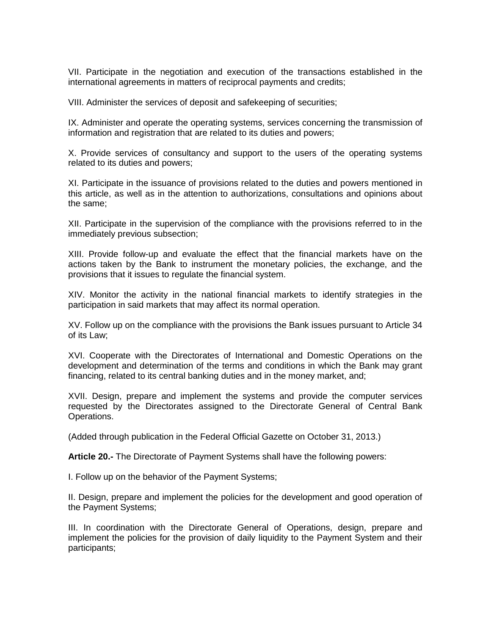VII. Participate in the negotiation and execution of the transactions established in the international agreements in matters of reciprocal payments and credits;

VIII. Administer the services of deposit and safekeeping of securities;

IX. Administer and operate the operating systems, services concerning the transmission of information and registration that are related to its duties and powers;

X. Provide services of consultancy and support to the users of the operating systems related to its duties and powers;

XI. Participate in the issuance of provisions related to the duties and powers mentioned in this article, as well as in the attention to authorizations, consultations and opinions about the same;

XII. Participate in the supervision of the compliance with the provisions referred to in the immediately previous subsection;

XIII. Provide follow-up and evaluate the effect that the financial markets have on the actions taken by the Bank to instrument the monetary policies, the exchange, and the provisions that it issues to regulate the financial system.

XIV. Monitor the activity in the national financial markets to identify strategies in the participation in said markets that may affect its normal operation.

XV. Follow up on the compliance with the provisions the Bank issues pursuant to Article 34 of its Law;

XVI. Cooperate with the Directorates of International and Domestic Operations on the development and determination of the terms and conditions in which the Bank may grant financing, related to its central banking duties and in the money market, and;

XVII. Design, prepare and implement the systems and provide the computer services requested by the Directorates assigned to the Directorate General of Central Bank Operations.

(Added through publication in the Federal Official Gazette on October 31, 2013.)

**Article 20.-** The Directorate of Payment Systems shall have the following powers:

I. Follow up on the behavior of the Payment Systems;

II. Design, prepare and implement the policies for the development and good operation of the Payment Systems;

III. In coordination with the Directorate General of Operations, design, prepare and implement the policies for the provision of daily liquidity to the Payment System and their participants;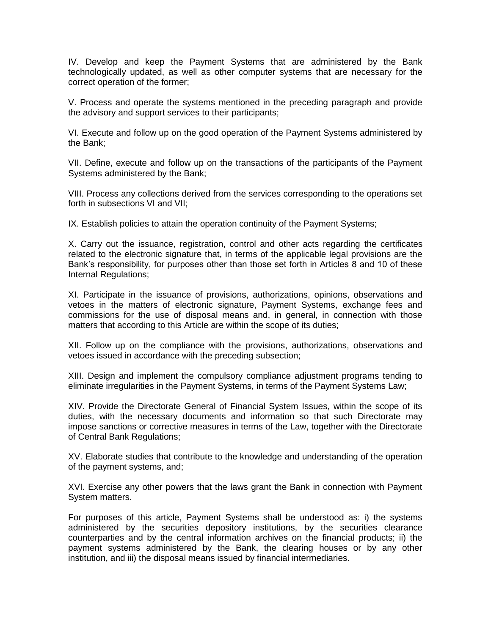IV. Develop and keep the Payment Systems that are administered by the Bank technologically updated, as well as other computer systems that are necessary for the correct operation of the former;

V. Process and operate the systems mentioned in the preceding paragraph and provide the advisory and support services to their participants;

VI. Execute and follow up on the good operation of the Payment Systems administered by the Bank;

VII. Define, execute and follow up on the transactions of the participants of the Payment Systems administered by the Bank;

VIII. Process any collections derived from the services corresponding to the operations set forth in subsections VI and VII;

IX. Establish policies to attain the operation continuity of the Payment Systems;

X. Carry out the issuance, registration, control and other acts regarding the certificates related to the electronic signature that, in terms of the applicable legal provisions are the Bank's responsibility, for purposes other than those set forth in Articles 8 and 10 of these Internal Regulations;

XI. Participate in the issuance of provisions, authorizations, opinions, observations and vetoes in the matters of electronic signature, Payment Systems, exchange fees and commissions for the use of disposal means and, in general, in connection with those matters that according to this Article are within the scope of its duties;

XII. Follow up on the compliance with the provisions, authorizations, observations and vetoes issued in accordance with the preceding subsection;

XIII. Design and implement the compulsory compliance adjustment programs tending to eliminate irregularities in the Payment Systems, in terms of the Payment Systems Law;

XIV. Provide the Directorate General of Financial System Issues, within the scope of its duties, with the necessary documents and information so that such Directorate may impose sanctions or corrective measures in terms of the Law, together with the Directorate of Central Bank Regulations;

XV. Elaborate studies that contribute to the knowledge and understanding of the operation of the payment systems, and;

XVI. Exercise any other powers that the laws grant the Bank in connection with Payment System matters.

For purposes of this article, Payment Systems shall be understood as: i) the systems administered by the securities depository institutions, by the securities clearance counterparties and by the central information archives on the financial products; ii) the payment systems administered by the Bank, the clearing houses or by any other institution, and iii) the disposal means issued by financial intermediaries.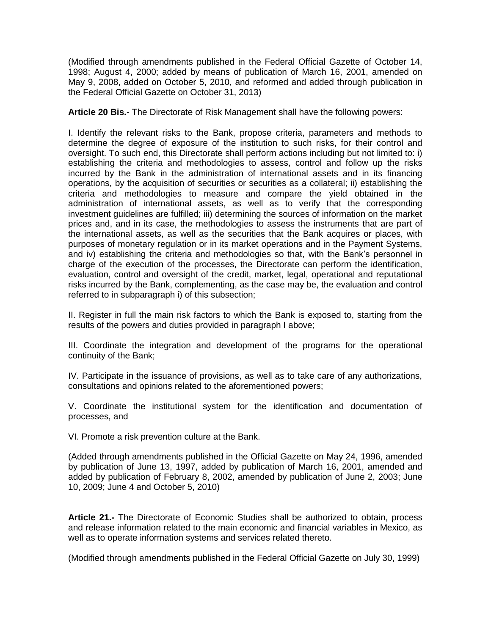(Modified through amendments published in the Federal Official Gazette of October 14, 1998; August 4, 2000; added by means of publication of March 16, 2001, amended on May 9, 2008, added on October 5, 2010, and reformed and added through publication in the Federal Official Gazette on October 31, 2013)

**Article 20 Bis.-** The Directorate of Risk Management shall have the following powers:

I. Identify the relevant risks to the Bank, propose criteria, parameters and methods to determine the degree of exposure of the institution to such risks, for their control and oversight. To such end, this Directorate shall perform actions including but not limited to: i) establishing the criteria and methodologies to assess, control and follow up the risks incurred by the Bank in the administration of international assets and in its financing operations, by the acquisition of securities or securities as a collateral; ii) establishing the criteria and methodologies to measure and compare the yield obtained in the administration of international assets, as well as to verify that the corresponding investment guidelines are fulfilled; iii) determining the sources of information on the market prices and, and in its case, the methodologies to assess the instruments that are part of the international assets, as well as the securities that the Bank acquires or places, with purposes of monetary regulation or in its market operations and in the Payment Systems, and iv) establishing the criteria and methodologies so that, with the Bank's personnel in charge of the execution of the processes, the Directorate can perform the identification, evaluation, control and oversight of the credit, market, legal, operational and reputational risks incurred by the Bank, complementing, as the case may be, the evaluation and control referred to in subparagraph i) of this subsection;

II. Register in full the main risk factors to which the Bank is exposed to, starting from the results of the powers and duties provided in paragraph I above;

III. Coordinate the integration and development of the programs for the operational continuity of the Bank;

IV. Participate in the issuance of provisions, as well as to take care of any authorizations, consultations and opinions related to the aforementioned powers;

V. Coordinate the institutional system for the identification and documentation of processes, and

VI. Promote a risk prevention culture at the Bank.

(Added through amendments published in the Official Gazette on May 24, 1996, amended by publication of June 13, 1997, added by publication of March 16, 2001, amended and added by publication of February 8, 2002, amended by publication of June 2, 2003; June 10, 2009; June 4 and October 5, 2010)

**Article 21.-** The Directorate of Economic Studies shall be authorized to obtain, process and release information related to the main economic and financial variables in Mexico, as well as to operate information systems and services related thereto.

(Modified through amendments published in the Federal Official Gazette on July 30, 1999)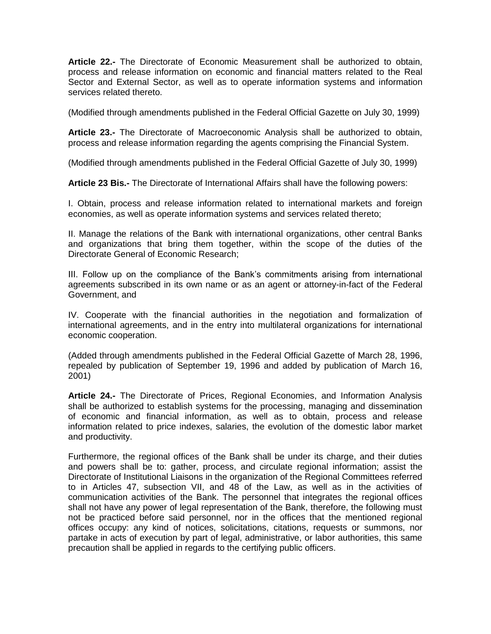**Article 22.-** The Directorate of Economic Measurement shall be authorized to obtain, process and release information on economic and financial matters related to the Real Sector and External Sector, as well as to operate information systems and information services related thereto.

(Modified through amendments published in the Federal Official Gazette on July 30, 1999)

**Article 23.-** The Directorate of Macroeconomic Analysis shall be authorized to obtain, process and release information regarding the agents comprising the Financial System.

(Modified through amendments published in the Federal Official Gazette of July 30, 1999)

**Article 23 Bis.-** The Directorate of International Affairs shall have the following powers:

I. Obtain, process and release information related to international markets and foreign economies, as well as operate information systems and services related thereto;

II. Manage the relations of the Bank with international organizations, other central Banks and organizations that bring them together, within the scope of the duties of the Directorate General of Economic Research;

III. Follow up on the compliance of the Bank's commitments arising from international agreements subscribed in its own name or as an agent or attorney-in-fact of the Federal Government, and

IV. Cooperate with the financial authorities in the negotiation and formalization of international agreements, and in the entry into multilateral organizations for international economic cooperation.

(Added through amendments published in the Federal Official Gazette of March 28, 1996, repealed by publication of September 19, 1996 and added by publication of March 16, 2001)

**Article 24.-** The Directorate of Prices, Regional Economies, and Information Analysis shall be authorized to establish systems for the processing, managing and dissemination of economic and financial information, as well as to obtain, process and release information related to price indexes, salaries, the evolution of the domestic labor market and productivity.

Furthermore, the regional offices of the Bank shall be under its charge, and their duties and powers shall be to: gather, process, and circulate regional information; assist the Directorate of Institutional Liaisons in the organization of the Regional Committees referred to in Articles 47, subsection VII, and 48 of the Law, as well as in the activities of communication activities of the Bank. The personnel that integrates the regional offices shall not have any power of legal representation of the Bank, therefore, the following must not be practiced before said personnel, nor in the offices that the mentioned regional offices occupy: any kind of notices, solicitations, citations, requests or summons, nor partake in acts of execution by part of legal, administrative, or labor authorities, this same precaution shall be applied in regards to the certifying public officers.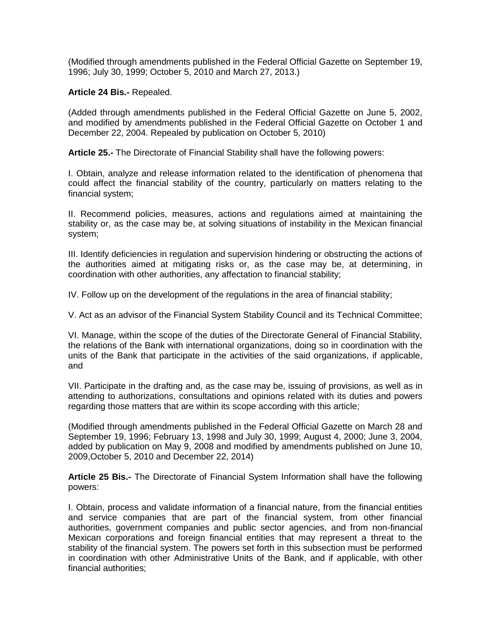(Modified through amendments published in the Federal Official Gazette on September 19, 1996; July 30, 1999; October 5, 2010 and March 27, 2013.)

**Article 24 Bis.-** Repealed.

(Added through amendments published in the Federal Official Gazette on June 5, 2002, and modified by amendments published in the Federal Official Gazette on October 1 and December 22, 2004. Repealed by publication on October 5, 2010)

**Article 25.-** The Directorate of Financial Stability shall have the following powers:

I. Obtain, analyze and release information related to the identification of phenomena that could affect the financial stability of the country, particularly on matters relating to the financial system;

II. Recommend policies, measures, actions and regulations aimed at maintaining the stability or, as the case may be, at solving situations of instability in the Mexican financial system;

III. Identify deficiencies in regulation and supervision hindering or obstructing the actions of the authorities aimed at mitigating risks or, as the case may be, at determining, in coordination with other authorities, any affectation to financial stability;

IV. Follow up on the development of the regulations in the area of financial stability;

V. Act as an advisor of the Financial System Stability Council and its Technical Committee;

VI. Manage, within the scope of the duties of the Directorate General of Financial Stability, the relations of the Bank with international organizations, doing so in coordination with the units of the Bank that participate in the activities of the said organizations, if applicable, and

VII. Participate in the drafting and, as the case may be, issuing of provisions, as well as in attending to authorizations, consultations and opinions related with its duties and powers regarding those matters that are within its scope according with this article;

(Modified through amendments published in the Federal Official Gazette on March 28 and September 19, 1996; February 13, 1998 and July 30, 1999; August 4, 2000; June 3, 2004, added by publication on May 9, 2008 and modified by amendments published on June 10, 2009,October 5, 2010 and December 22, 2014)

**Article 25 Bis.-** The Directorate of Financial System Information shall have the following powers:

I. Obtain, process and validate information of a financial nature, from the financial entities and service companies that are part of the financial system, from other financial authorities, government companies and public sector agencies, and from non-financial Mexican corporations and foreign financial entities that may represent a threat to the stability of the financial system. The powers set forth in this subsection must be performed in coordination with other Administrative Units of the Bank, and if applicable, with other financial authorities;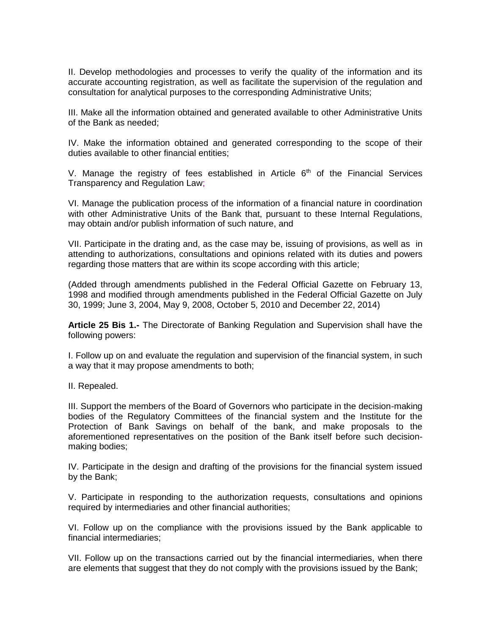II. Develop methodologies and processes to verify the quality of the information and its accurate accounting registration, as well as facilitate the supervision of the regulation and consultation for analytical purposes to the corresponding Administrative Units;

III. Make all the information obtained and generated available to other Administrative Units of the Bank as needed;

IV. Make the information obtained and generated corresponding to the scope of their duties available to other financial entities;

V. Manage the registry of fees established in Article  $6<sup>th</sup>$  of the Financial Services Transparency and Regulation Law;

VI. Manage the publication process of the information of a financial nature in coordination with other Administrative Units of the Bank that, pursuant to these Internal Regulations, may obtain and/or publish information of such nature, and

VII. Participate in the drating and, as the case may be, issuing of provisions, as well as in attending to authorizations, consultations and opinions related with its duties and powers regarding those matters that are within its scope according with this article;

(Added through amendments published in the Federal Official Gazette on February 13, 1998 and modified through amendments published in the Federal Official Gazette on July 30, 1999; June 3, 2004, May 9, 2008, October 5, 2010 and December 22, 2014)

**Article 25 Bis 1.-** The Directorate of Banking Regulation and Supervision shall have the following powers:

I. Follow up on and evaluate the regulation and supervision of the financial system, in such a way that it may propose amendments to both;

II. Repealed.

III. Support the members of the Board of Governors who participate in the decision-making bodies of the Regulatory Committees of the financial system and the Institute for the Protection of Bank Savings on behalf of the bank, and make proposals to the aforementioned representatives on the position of the Bank itself before such decisionmaking bodies;

IV. Participate in the design and drafting of the provisions for the financial system issued by the Bank;

V. Participate in responding to the authorization requests, consultations and opinions required by intermediaries and other financial authorities;

VI. Follow up on the compliance with the provisions issued by the Bank applicable to financial intermediaries;

VII. Follow up on the transactions carried out by the financial intermediaries, when there are elements that suggest that they do not comply with the provisions issued by the Bank;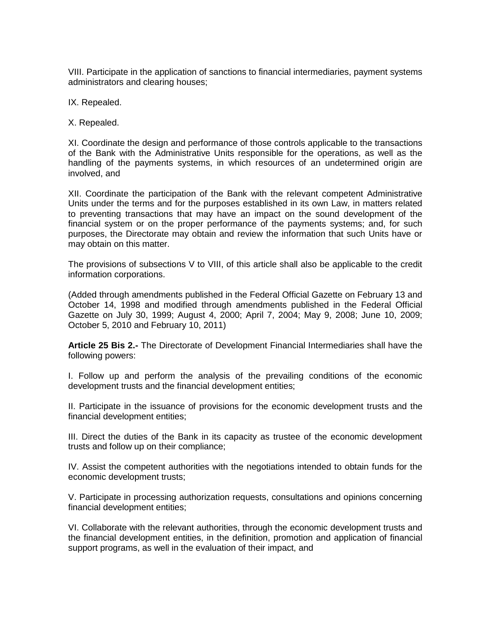VIII. Participate in the application of sanctions to financial intermediaries, payment systems administrators and clearing houses;

IX. Repealed.

X. Repealed.

XI. Coordinate the design and performance of those controls applicable to the transactions of the Bank with the Administrative Units responsible for the operations, as well as the handling of the payments systems, in which resources of an undetermined origin are involved, and

XII. Coordinate the participation of the Bank with the relevant competent Administrative Units under the terms and for the purposes established in its own Law, in matters related to preventing transactions that may have an impact on the sound development of the financial system or on the proper performance of the payments systems; and, for such purposes, the Directorate may obtain and review the information that such Units have or may obtain on this matter.

The provisions of subsections V to VIII, of this article shall also be applicable to the credit information corporations.

(Added through amendments published in the Federal Official Gazette on February 13 and October 14, 1998 and modified through amendments published in the Federal Official Gazette on July 30, 1999; August 4, 2000; April 7, 2004; May 9, 2008; June 10, 2009; October 5, 2010 and February 10, 2011)

**Article 25 Bis 2.-** The Directorate of Development Financial Intermediaries shall have the following powers:

I. Follow up and perform the analysis of the prevailing conditions of the economic development trusts and the financial development entities;

II. Participate in the issuance of provisions for the economic development trusts and the financial development entities;

III. Direct the duties of the Bank in its capacity as trustee of the economic development trusts and follow up on their compliance;

IV. Assist the competent authorities with the negotiations intended to obtain funds for the economic development trusts;

V. Participate in processing authorization requests, consultations and opinions concerning financial development entities;

VI. Collaborate with the relevant authorities, through the economic development trusts and the financial development entities, in the definition, promotion and application of financial support programs, as well in the evaluation of their impact, and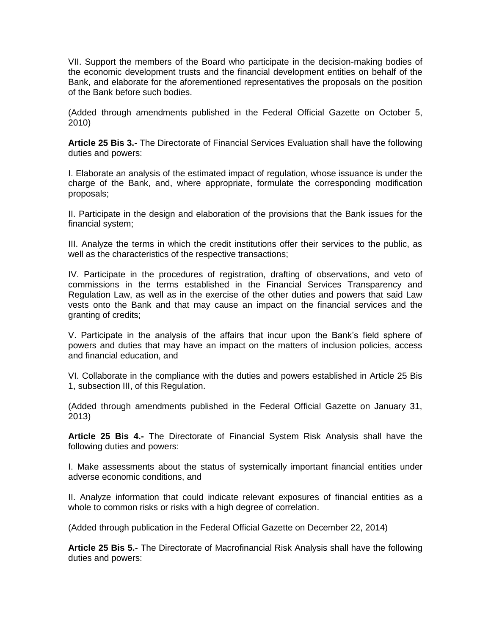VII. Support the members of the Board who participate in the decision-making bodies of the economic development trusts and the financial development entities on behalf of the Bank, and elaborate for the aforementioned representatives the proposals on the position of the Bank before such bodies.

(Added through amendments published in the Federal Official Gazette on October 5, 2010)

**Article 25 Bis 3.-** The Directorate of Financial Services Evaluation shall have the following duties and powers:

I. Elaborate an analysis of the estimated impact of regulation, whose issuance is under the charge of the Bank, and, where appropriate, formulate the corresponding modification proposals;

II. Participate in the design and elaboration of the provisions that the Bank issues for the financial system;

III. Analyze the terms in which the credit institutions offer their services to the public, as well as the characteristics of the respective transactions;

IV. Participate in the procedures of registration, drafting of observations, and veto of commissions in the terms established in the Financial Services Transparency and Regulation Law, as well as in the exercise of the other duties and powers that said Law vests onto the Bank and that may cause an impact on the financial services and the granting of credits;

V. Participate in the analysis of the affairs that incur upon the Bank's field sphere of powers and duties that may have an impact on the matters of inclusion policies, access and financial education, and

VI. Collaborate in the compliance with the duties and powers established in Article 25 Bis 1, subsection III, of this Regulation.

(Added through amendments published in the Federal Official Gazette on January 31, 2013)

**Article 25 Bis 4.-** The Directorate of Financial System Risk Analysis shall have the following duties and powers:

I. Make assessments about the status of systemically important financial entities under adverse economic conditions, and

II. Analyze information that could indicate relevant exposures of financial entities as a whole to common risks or risks with a high degree of correlation.

(Added through publication in the Federal Official Gazette on December 22, 2014)

**Article 25 Bis 5.-** The Directorate of Macrofinancial Risk Analysis shall have the following duties and powers: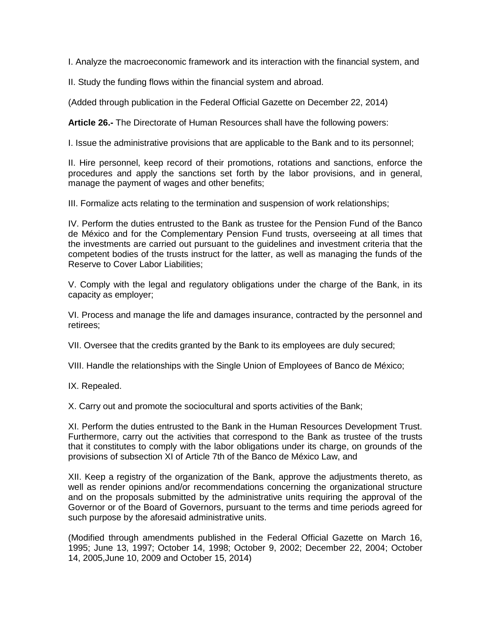I. Analyze the macroeconomic framework and its interaction with the financial system, and

II. Study the funding flows within the financial system and abroad.

(Added through publication in the Federal Official Gazette on December 22, 2014)

**Article 26.-** The Directorate of Human Resources shall have the following powers:

I. Issue the administrative provisions that are applicable to the Bank and to its personnel;

II. Hire personnel, keep record of their promotions, rotations and sanctions, enforce the procedures and apply the sanctions set forth by the labor provisions, and in general, manage the payment of wages and other benefits;

III. Formalize acts relating to the termination and suspension of work relationships;

IV. Perform the duties entrusted to the Bank as trustee for the Pension Fund of the Banco de México and for the Complementary Pension Fund trusts, overseeing at all times that the investments are carried out pursuant to the guidelines and investment criteria that the competent bodies of the trusts instruct for the latter, as well as managing the funds of the Reserve to Cover Labor Liabilities;

V. Comply with the legal and regulatory obligations under the charge of the Bank, in its capacity as employer;

VI. Process and manage the life and damages insurance, contracted by the personnel and retirees;

VII. Oversee that the credits granted by the Bank to its employees are duly secured;

VIII. Handle the relationships with the Single Union of Employees of Banco de México;

IX. Repealed.

X. Carry out and promote the sociocultural and sports activities of the Bank;

XI. Perform the duties entrusted to the Bank in the Human Resources Development Trust. Furthermore, carry out the activities that correspond to the Bank as trustee of the trusts that it constitutes to comply with the labor obligations under its charge, on grounds of the provisions of subsection XI of Article 7th of the Banco de México Law, and

XII. Keep a registry of the organization of the Bank, approve the adjustments thereto, as well as render opinions and/or recommendations concerning the organizational structure and on the proposals submitted by the administrative units requiring the approval of the Governor or of the Board of Governors, pursuant to the terms and time periods agreed for such purpose by the aforesaid administrative units.

(Modified through amendments published in the Federal Official Gazette on March 16, 1995; June 13, 1997; October 14, 1998; October 9, 2002; December 22, 2004; October 14, 2005,June 10, 2009 and October 15, 2014)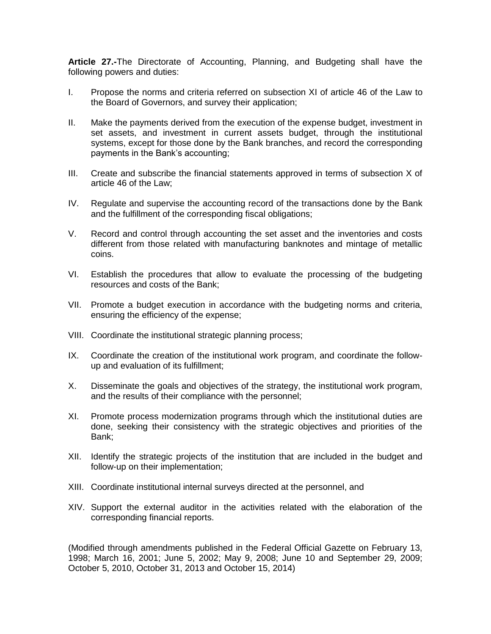**Article 27.-**The Directorate of Accounting, Planning, and Budgeting shall have the following powers and duties:

- I. Propose the norms and criteria referred on subsection XI of article 46 of the Law to the Board of Governors, and survey their application;
- II. Make the payments derived from the execution of the expense budget, investment in set assets, and investment in current assets budget, through the institutional systems, except for those done by the Bank branches, and record the corresponding payments in the Bank's accounting;
- III. Create and subscribe the financial statements approved in terms of subsection X of article 46 of the Law;
- IV. Regulate and supervise the accounting record of the transactions done by the Bank and the fulfillment of the corresponding fiscal obligations;
- V. Record and control through accounting the set asset and the inventories and costs different from those related with manufacturing banknotes and mintage of metallic coins.
- VI. Establish the procedures that allow to evaluate the processing of the budgeting resources and costs of the Bank;
- VII. Promote a budget execution in accordance with the budgeting norms and criteria, ensuring the efficiency of the expense;
- VIII. Coordinate the institutional strategic planning process;
- IX. Coordinate the creation of the institutional work program, and coordinate the followup and evaluation of its fulfillment;
- X. Disseminate the goals and objectives of the strategy, the institutional work program, and the results of their compliance with the personnel;
- XI. Promote process modernization programs through which the institutional duties are done, seeking their consistency with the strategic objectives and priorities of the Bank;
- XII. Identify the strategic projects of the institution that are included in the budget and follow-up on their implementation;
- XIII. Coordinate institutional internal surveys directed at the personnel, and
- XIV. Support the external auditor in the activities related with the elaboration of the corresponding financial reports.

(Modified through amendments published in the Federal Official Gazette on February 13, 1998; March 16, 2001; June 5, 2002; May 9, 2008; June 10 and September 29, 2009; October 5, 2010, October 31, 2013 and October 15, 2014)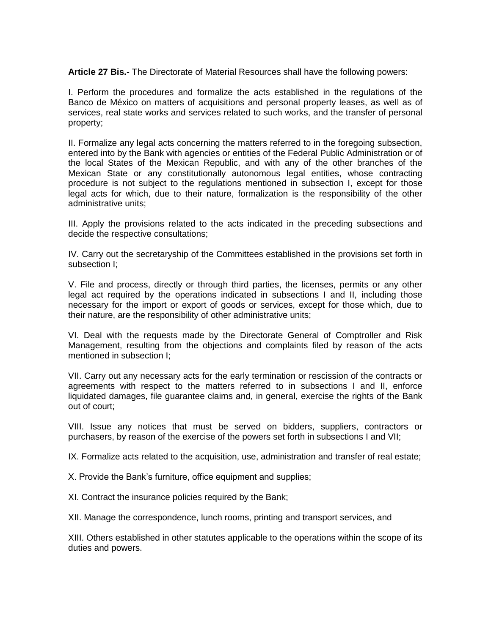**Article 27 Bis.-** The Directorate of Material Resources shall have the following powers:

I. Perform the procedures and formalize the acts established in the regulations of the Banco de México on matters of acquisitions and personal property leases, as well as of services, real state works and services related to such works, and the transfer of personal property;

II. Formalize any legal acts concerning the matters referred to in the foregoing subsection, entered into by the Bank with agencies or entities of the Federal Public Administration or of the local States of the Mexican Republic, and with any of the other branches of the Mexican State or any constitutionally autonomous legal entities, whose contracting procedure is not subject to the regulations mentioned in subsection I, except for those legal acts for which, due to their nature, formalization is the responsibility of the other administrative units;

III. Apply the provisions related to the acts indicated in the preceding subsections and decide the respective consultations;

IV. Carry out the secretaryship of the Committees established in the provisions set forth in subsection I;

V. File and process, directly or through third parties, the licenses, permits or any other legal act required by the operations indicated in subsections I and II, including those necessary for the import or export of goods or services, except for those which, due to their nature, are the responsibility of other administrative units;

VI. Deal with the requests made by the Directorate General of Comptroller and Risk Management, resulting from the objections and complaints filed by reason of the acts mentioned in subsection I;

VII. Carry out any necessary acts for the early termination or rescission of the contracts or agreements with respect to the matters referred to in subsections I and II, enforce liquidated damages, file guarantee claims and, in general, exercise the rights of the Bank out of court;

VIII. Issue any notices that must be served on bidders, suppliers, contractors or purchasers, by reason of the exercise of the powers set forth in subsections I and VII;

IX. Formalize acts related to the acquisition, use, administration and transfer of real estate;

X. Provide the Bank's furniture, office equipment and supplies;

XI. Contract the insurance policies required by the Bank;

XII. Manage the correspondence, lunch rooms, printing and transport services, and

XIII. Others established in other statutes applicable to the operations within the scope of its duties and powers.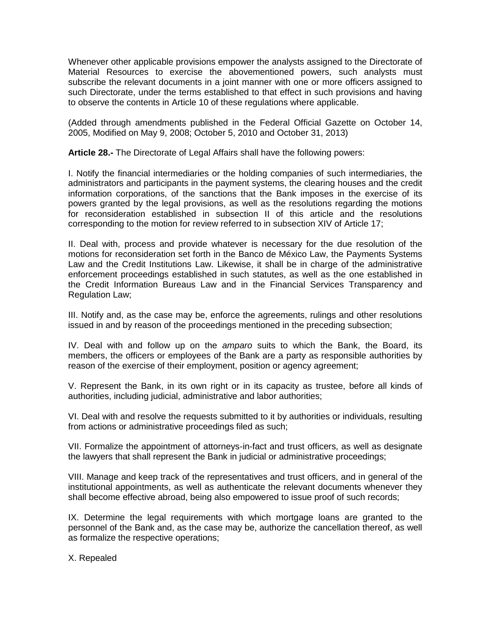Whenever other applicable provisions empower the analysts assigned to the Directorate of Material Resources to exercise the abovementioned powers, such analysts must subscribe the relevant documents in a joint manner with one or more officers assigned to such Directorate, under the terms established to that effect in such provisions and having to observe the contents in Article 10 of these regulations where applicable.

(Added through amendments published in the Federal Official Gazette on October 14, 2005, Modified on May 9, 2008; October 5, 2010 and October 31, 2013)

**Article 28.-** The Directorate of Legal Affairs shall have the following powers:

I. Notify the financial intermediaries or the holding companies of such intermediaries, the administrators and participants in the payment systems, the clearing houses and the credit information corporations, of the sanctions that the Bank imposes in the exercise of its powers granted by the legal provisions, as well as the resolutions regarding the motions for reconsideration established in subsection II of this article and the resolutions corresponding to the motion for review referred to in subsection XIV of Article 17;

II. Deal with, process and provide whatever is necessary for the due resolution of the motions for reconsideration set forth in the Banco de México Law, the Payments Systems Law and the Credit Institutions Law. Likewise, it shall be in charge of the administrative enforcement proceedings established in such statutes, as well as the one established in the Credit Information Bureaus Law and in the Financial Services Transparency and Regulation Law;

III. Notify and, as the case may be, enforce the agreements, rulings and other resolutions issued in and by reason of the proceedings mentioned in the preceding subsection;

IV. Deal with and follow up on the *amparo* suits to which the Bank, the Board, its members, the officers or employees of the Bank are a party as responsible authorities by reason of the exercise of their employment, position or agency agreement;

V. Represent the Bank, in its own right or in its capacity as trustee, before all kinds of authorities, including judicial, administrative and labor authorities;

VI. Deal with and resolve the requests submitted to it by authorities or individuals, resulting from actions or administrative proceedings filed as such;

VII. Formalize the appointment of attorneys-in-fact and trust officers, as well as designate the lawyers that shall represent the Bank in judicial or administrative proceedings;

VIII. Manage and keep track of the representatives and trust officers, and in general of the institutional appointments, as well as authenticate the relevant documents whenever they shall become effective abroad, being also empowered to issue proof of such records;

IX. Determine the legal requirements with which mortgage loans are granted to the personnel of the Bank and, as the case may be, authorize the cancellation thereof, as well as formalize the respective operations;

X. Repealed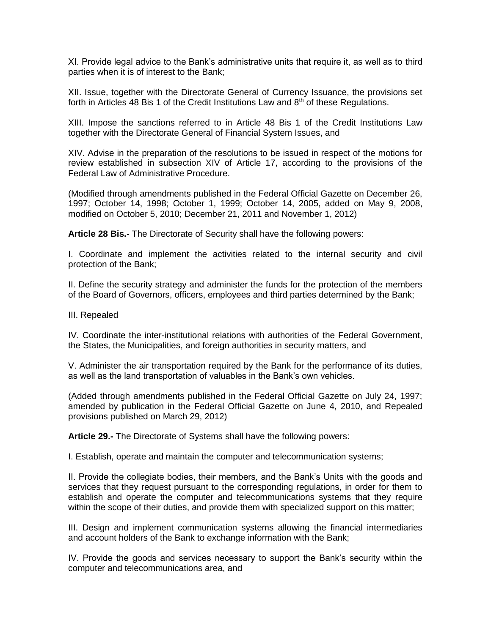XI. Provide legal advice to the Bank's administrative units that require it, as well as to third parties when it is of interest to the Bank;

XII. Issue, together with the Directorate General of Currency Issuance, the provisions set forth in Articles 48 Bis 1 of the Credit Institutions Law and  $8<sup>th</sup>$  of these Regulations.

XIII. Impose the sanctions referred to in Article 48 Bis 1 of the Credit Institutions Law together with the Directorate General of Financial System Issues, and

XIV. Advise in the preparation of the resolutions to be issued in respect of the motions for review established in subsection XIV of Article 17, according to the provisions of the Federal Law of Administrative Procedure.

(Modified through amendments published in the Federal Official Gazette on December 26, 1997; October 14, 1998; October 1, 1999; October 14, 2005, added on May 9, 2008, modified on October 5, 2010; December 21, 2011 and November 1, 2012)

**Article 28 Bis.-** The Directorate of Security shall have the following powers:

I. Coordinate and implement the activities related to the internal security and civil protection of the Bank;

II. Define the security strategy and administer the funds for the protection of the members of the Board of Governors, officers, employees and third parties determined by the Bank;

III. Repealed

IV. Coordinate the inter-institutional relations with authorities of the Federal Government, the States, the Municipalities, and foreign authorities in security matters, and

V. Administer the air transportation required by the Bank for the performance of its duties, as well as the land transportation of valuables in the Bank's own vehicles.

(Added through amendments published in the Federal Official Gazette on July 24, 1997; amended by publication in the Federal Official Gazette on June 4, 2010, and Repealed provisions published on March 29, 2012)

**Article 29.-** The Directorate of Systems shall have the following powers:

I. Establish, operate and maintain the computer and telecommunication systems;

II. Provide the collegiate bodies, their members, and the Bank's Units with the goods and services that they request pursuant to the corresponding regulations, in order for them to establish and operate the computer and telecommunications systems that they require within the scope of their duties, and provide them with specialized support on this matter;

III. Design and implement communication systems allowing the financial intermediaries and account holders of the Bank to exchange information with the Bank;

IV. Provide the goods and services necessary to support the Bank's security within the computer and telecommunications area, and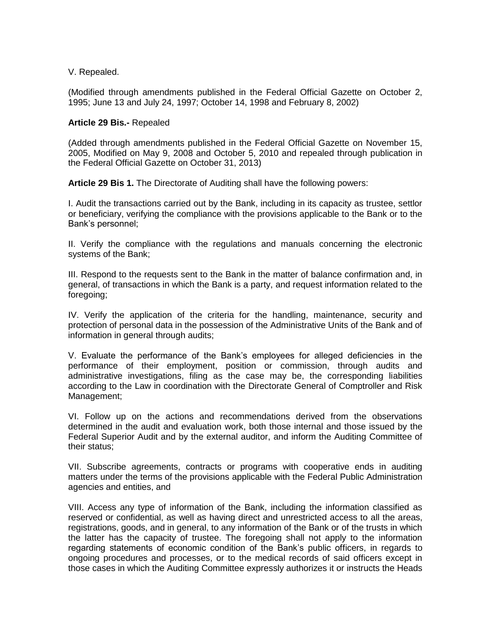V. Repealed.

(Modified through amendments published in the Federal Official Gazette on October 2, 1995; June 13 and July 24, 1997; October 14, 1998 and February 8, 2002)

### **Article 29 Bis.-** Repealed

(Added through amendments published in the Federal Official Gazette on November 15, 2005, Modified on May 9, 2008 and October 5, 2010 and repealed through publication in the Federal Official Gazette on October 31, 2013)

**Article 29 Bis 1.** The Directorate of Auditing shall have the following powers:

I. Audit the transactions carried out by the Bank, including in its capacity as trustee, settlor or beneficiary, verifying the compliance with the provisions applicable to the Bank or to the Bank's personnel;

II. Verify the compliance with the regulations and manuals concerning the electronic systems of the Bank;

III. Respond to the requests sent to the Bank in the matter of balance confirmation and, in general, of transactions in which the Bank is a party, and request information related to the foregoing;

IV. Verify the application of the criteria for the handling, maintenance, security and protection of personal data in the possession of the Administrative Units of the Bank and of information in general through audits;

V. Evaluate the performance of the Bank's employees for alleged deficiencies in the performance of their employment, position or commission, through audits and administrative investigations, filing as the case may be, the corresponding liabilities according to the Law in coordination with the Directorate General of Comptroller and Risk Management;

VI. Follow up on the actions and recommendations derived from the observations determined in the audit and evaluation work, both those internal and those issued by the Federal Superior Audit and by the external auditor, and inform the Auditing Committee of their status;

VII. Subscribe agreements, contracts or programs with cooperative ends in auditing matters under the terms of the provisions applicable with the Federal Public Administration agencies and entities, and

VIII. Access any type of information of the Bank, including the information classified as reserved or confidential, as well as having direct and unrestricted access to all the areas, registrations, goods, and in general, to any information of the Bank or of the trusts in which the latter has the capacity of trustee. The foregoing shall not apply to the information regarding statements of economic condition of the Bank's public officers, in regards to ongoing procedures and processes, or to the medical records of said officers except in those cases in which the Auditing Committee expressly authorizes it or instructs the Heads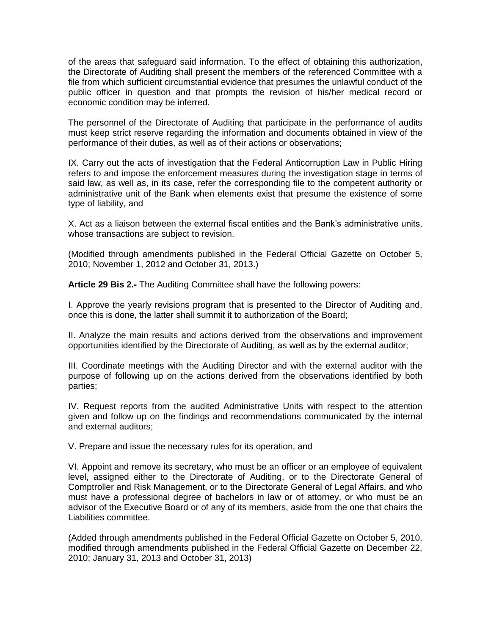of the areas that safeguard said information. To the effect of obtaining this authorization, the Directorate of Auditing shall present the members of the referenced Committee with a file from which sufficient circumstantial evidence that presumes the unlawful conduct of the public officer in question and that prompts the revision of his/her medical record or economic condition may be inferred.

The personnel of the Directorate of Auditing that participate in the performance of audits must keep strict reserve regarding the information and documents obtained in view of the performance of their duties, as well as of their actions or observations;

IX. Carry out the acts of investigation that the Federal Anticorruption Law in Public Hiring refers to and impose the enforcement measures during the investigation stage in terms of said law, as well as, in its case, refer the corresponding file to the competent authority or administrative unit of the Bank when elements exist that presume the existence of some type of liability, and

X. Act as a liaison between the external fiscal entities and the Bank's administrative units, whose transactions are subject to revision.

(Modified through amendments published in the Federal Official Gazette on October 5, 2010; November 1, 2012 and October 31, 2013.)

**Article 29 Bis 2.-** The Auditing Committee shall have the following powers:

I. Approve the yearly revisions program that is presented to the Director of Auditing and, once this is done, the latter shall summit it to authorization of the Board;

II. Analyze the main results and actions derived from the observations and improvement opportunities identified by the Directorate of Auditing, as well as by the external auditor;

III. Coordinate meetings with the Auditing Director and with the external auditor with the purpose of following up on the actions derived from the observations identified by both parties;

IV. Request reports from the audited Administrative Units with respect to the attention given and follow up on the findings and recommendations communicated by the internal and external auditors;

V. Prepare and issue the necessary rules for its operation, and

VI. Appoint and remove its secretary, who must be an officer or an employee of equivalent level, assigned either to the Directorate of Auditing, or to the Directorate General of Comptroller and Risk Management, or to the Directorate General of Legal Affairs, and who must have a professional degree of bachelors in law or of attorney, or who must be an advisor of the Executive Board or of any of its members, aside from the one that chairs the Liabilities committee.

(Added through amendments published in the Federal Official Gazette on October 5, 2010, modified through amendments published in the Federal Official Gazette on December 22, 2010; January 31, 2013 and October 31, 2013)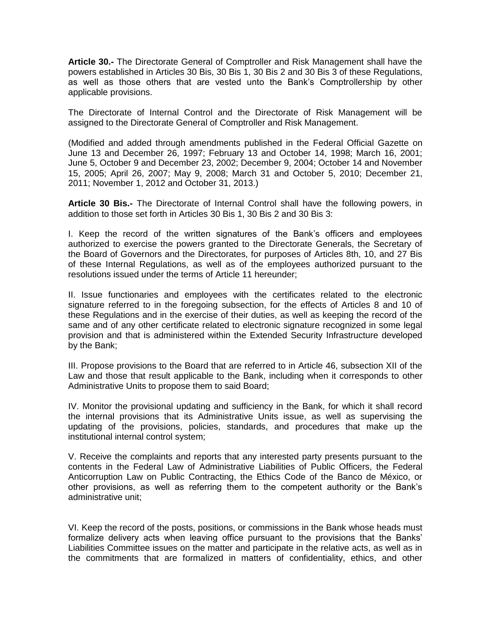**Article 30.-** The Directorate General of Comptroller and Risk Management shall have the powers established in Articles 30 Bis, 30 Bis 1, 30 Bis 2 and 30 Bis 3 of these Regulations, as well as those others that are vested unto the Bank's Comptrollership by other applicable provisions.

The Directorate of Internal Control and the Directorate of Risk Management will be assigned to the Directorate General of Comptroller and Risk Management.

(Modified and added through amendments published in the Federal Official Gazette on June 13 and December 26, 1997; February 13 and October 14, 1998; March 16, 2001; June 5, October 9 and December 23, 2002; December 9, 2004; October 14 and November 15, 2005; April 26, 2007; May 9, 2008; March 31 and October 5, 2010; December 21, 2011; November 1, 2012 and October 31, 2013.)

**Article 30 Bis.-** The Directorate of Internal Control shall have the following powers, in addition to those set forth in Articles 30 Bis 1, 30 Bis 2 and 30 Bis 3:

I. Keep the record of the written signatures of the Bank's officers and employees authorized to exercise the powers granted to the Directorate Generals, the Secretary of the Board of Governors and the Directorates, for purposes of Articles 8th, 10, and 27 Bis of these Internal Regulations, as well as of the employees authorized pursuant to the resolutions issued under the terms of Article 11 hereunder;

II. Issue functionaries and employees with the certificates related to the electronic signature referred to in the foregoing subsection, for the effects of Articles 8 and 10 of these Regulations and in the exercise of their duties, as well as keeping the record of the same and of any other certificate related to electronic signature recognized in some legal provision and that is administered within the Extended Security Infrastructure developed by the Bank;

III. Propose provisions to the Board that are referred to in Article 46, subsection XII of the Law and those that result applicable to the Bank, including when it corresponds to other Administrative Units to propose them to said Board;

IV. Monitor the provisional updating and sufficiency in the Bank, for which it shall record the internal provisions that its Administrative Units issue, as well as supervising the updating of the provisions, policies, standards, and procedures that make up the institutional internal control system;

V. Receive the complaints and reports that any interested party presents pursuant to the contents in the Federal Law of Administrative Liabilities of Public Officers, the Federal Anticorruption Law on Public Contracting, the Ethics Code of the Banco de México, or other provisions, as well as referring them to the competent authority or the Bank's administrative unit;

VI. Keep the record of the posts, positions, or commissions in the Bank whose heads must formalize delivery acts when leaving office pursuant to the provisions that the Banks' Liabilities Committee issues on the matter and participate in the relative acts, as well as in the commitments that are formalized in matters of confidentiality, ethics, and other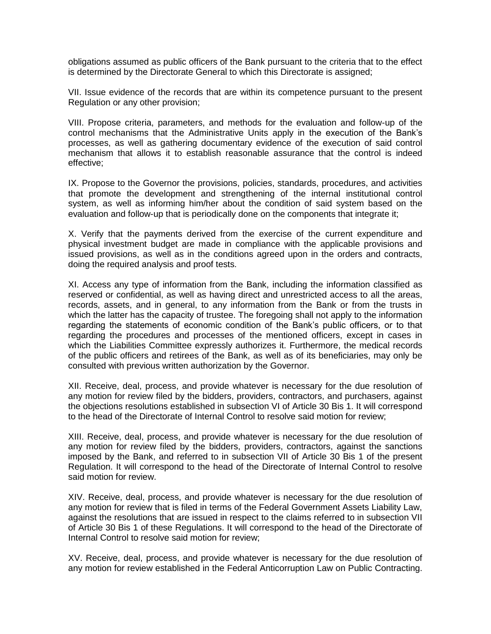obligations assumed as public officers of the Bank pursuant to the criteria that to the effect is determined by the Directorate General to which this Directorate is assigned;

VII. Issue evidence of the records that are within its competence pursuant to the present Regulation or any other provision;

VIII. Propose criteria, parameters, and methods for the evaluation and follow-up of the control mechanisms that the Administrative Units apply in the execution of the Bank's processes, as well as gathering documentary evidence of the execution of said control mechanism that allows it to establish reasonable assurance that the control is indeed effective;

IX. Propose to the Governor the provisions, policies, standards, procedures, and activities that promote the development and strengthening of the internal institutional control system, as well as informing him/her about the condition of said system based on the evaluation and follow-up that is periodically done on the components that integrate it;

X. Verify that the payments derived from the exercise of the current expenditure and physical investment budget are made in compliance with the applicable provisions and issued provisions, as well as in the conditions agreed upon in the orders and contracts, doing the required analysis and proof tests.

XI. Access any type of information from the Bank, including the information classified as reserved or confidential, as well as having direct and unrestricted access to all the areas, records, assets, and in general, to any information from the Bank or from the trusts in which the latter has the capacity of trustee. The foregoing shall not apply to the information regarding the statements of economic condition of the Bank's public officers, or to that regarding the procedures and processes of the mentioned officers, except in cases in which the Liabilities Committee expressly authorizes it. Furthermore, the medical records of the public officers and retirees of the Bank, as well as of its beneficiaries, may only be consulted with previous written authorization by the Governor.

XII. Receive, deal, process, and provide whatever is necessary for the due resolution of any motion for review filed by the bidders, providers, contractors, and purchasers, against the objections resolutions established in subsection VI of Article 30 Bis 1. It will correspond to the head of the Directorate of Internal Control to resolve said motion for review;

XIII. Receive, deal, process, and provide whatever is necessary for the due resolution of any motion for review filed by the bidders, providers, contractors, against the sanctions imposed by the Bank, and referred to in subsection VII of Article 30 Bis 1 of the present Regulation. It will correspond to the head of the Directorate of Internal Control to resolve said motion for review.

XIV. Receive, deal, process, and provide whatever is necessary for the due resolution of any motion for review that is filed in terms of the Federal Government Assets Liability Law, against the resolutions that are issued in respect to the claims referred to in subsection VII of Article 30 Bis 1 of these Regulations. It will correspond to the head of the Directorate of Internal Control to resolve said motion for review;

XV. Receive, deal, process, and provide whatever is necessary for the due resolution of any motion for review established in the Federal Anticorruption Law on Public Contracting.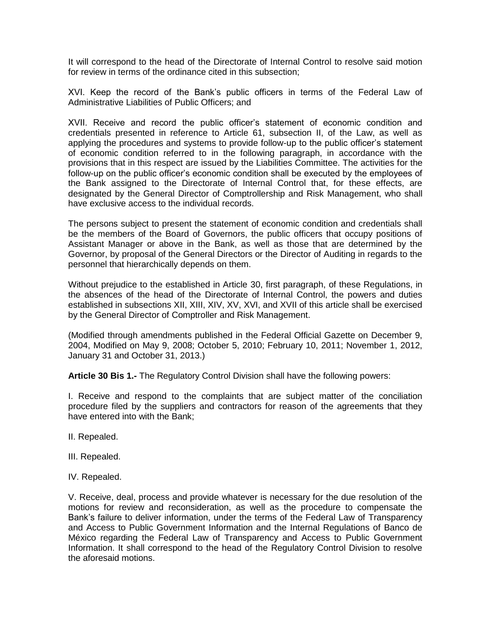It will correspond to the head of the Directorate of Internal Control to resolve said motion for review in terms of the ordinance cited in this subsection;

XVI. Keep the record of the Bank's public officers in terms of the Federal Law of Administrative Liabilities of Public Officers; and

XVII. Receive and record the public officer's statement of economic condition and credentials presented in reference to Article 61, subsection II, of the Law, as well as applying the procedures and systems to provide follow-up to the public officer's statement of economic condition referred to in the following paragraph, in accordance with the provisions that in this respect are issued by the Liabilities Committee. The activities for the follow-up on the public officer's economic condition shall be executed by the employees of the Bank assigned to the Directorate of Internal Control that, for these effects, are designated by the General Director of Comptrollership and Risk Management, who shall have exclusive access to the individual records.

The persons subject to present the statement of economic condition and credentials shall be the members of the Board of Governors, the public officers that occupy positions of Assistant Manager or above in the Bank, as well as those that are determined by the Governor, by proposal of the General Directors or the Director of Auditing in regards to the personnel that hierarchically depends on them.

Without prejudice to the established in Article 30, first paragraph, of these Regulations, in the absences of the head of the Directorate of Internal Control, the powers and duties established in subsections XII, XIII, XIV, XV, XVI, and XVII of this article shall be exercised by the General Director of Comptroller and Risk Management.

(Modified through amendments published in the Federal Official Gazette on December 9, 2004, Modified on May 9, 2008; October 5, 2010; February 10, 2011; November 1, 2012, January 31 and October 31, 2013.)

**Article 30 Bis 1.-** The Regulatory Control Division shall have the following powers:

I. Receive and respond to the complaints that are subject matter of the conciliation procedure filed by the suppliers and contractors for reason of the agreements that they have entered into with the Bank;

- II. Repealed.
- III. Repealed.
- IV. Repealed.

V. Receive, deal, process and provide whatever is necessary for the due resolution of the motions for review and reconsideration, as well as the procedure to compensate the Bank's failure to deliver information, under the terms of the Federal Law of Transparency and Access to Public Government Information and the Internal Regulations of Banco de México regarding the Federal Law of Transparency and Access to Public Government Information. It shall correspond to the head of the Regulatory Control Division to resolve the aforesaid motions.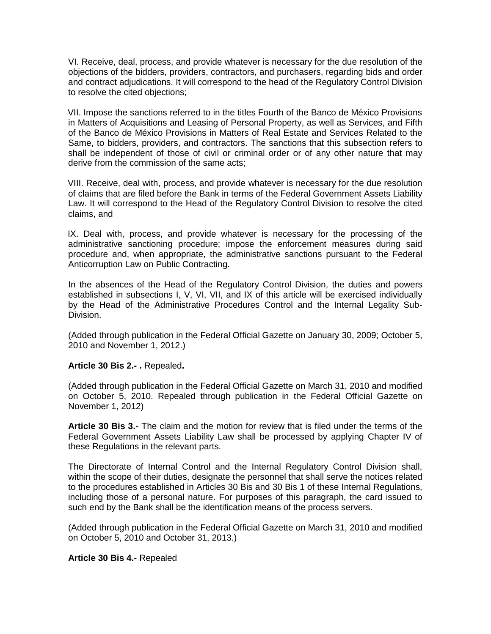VI. Receive, deal, process, and provide whatever is necessary for the due resolution of the objections of the bidders, providers, contractors, and purchasers, regarding bids and order and contract adjudications. It will correspond to the head of the Regulatory Control Division to resolve the cited objections;

VII. Impose the sanctions referred to in the titles Fourth of the Banco de México Provisions in Matters of Acquisitions and Leasing of Personal Property, as well as Services, and Fifth of the Banco de México Provisions in Matters of Real Estate and Services Related to the Same, to bidders, providers, and contractors. The sanctions that this subsection refers to shall be independent of those of civil or criminal order or of any other nature that may derive from the commission of the same acts;

VIII. Receive, deal with, process, and provide whatever is necessary for the due resolution of claims that are filed before the Bank in terms of the Federal Government Assets Liability Law. It will correspond to the Head of the Regulatory Control Division to resolve the cited claims, and

IX. Deal with, process, and provide whatever is necessary for the processing of the administrative sanctioning procedure; impose the enforcement measures during said procedure and, when appropriate, the administrative sanctions pursuant to the Federal Anticorruption Law on Public Contracting.

In the absences of the Head of the Regulatory Control Division, the duties and powers established in subsections I, V, VI, VII, and IX of this article will be exercised individually by the Head of the Administrative Procedures Control and the Internal Legality Sub-Division.

(Added through publication in the Federal Official Gazette on January 30, 2009; October 5, 2010 and November 1, 2012.)

# **Article 30 Bis 2.- .** Repealed**.**

(Added through publication in the Federal Official Gazette on March 31, 2010 and modified on October 5, 2010. Repealed through publication in the Federal Official Gazette on November 1, 2012)

**Article 30 Bis 3.-** The claim and the motion for review that is filed under the terms of the Federal Government Assets Liability Law shall be processed by applying Chapter IV of these Regulations in the relevant parts.

The Directorate of Internal Control and the Internal Regulatory Control Division shall, within the scope of their duties, designate the personnel that shall serve the notices related to the procedures established in Articles 30 Bis and 30 Bis 1 of these Internal Regulations, including those of a personal nature. For purposes of this paragraph, the card issued to such end by the Bank shall be the identification means of the process servers.

(Added through publication in the Federal Official Gazette on March 31, 2010 and modified on October 5, 2010 and October 31, 2013.)

**Article 30 Bis 4.-** Repealed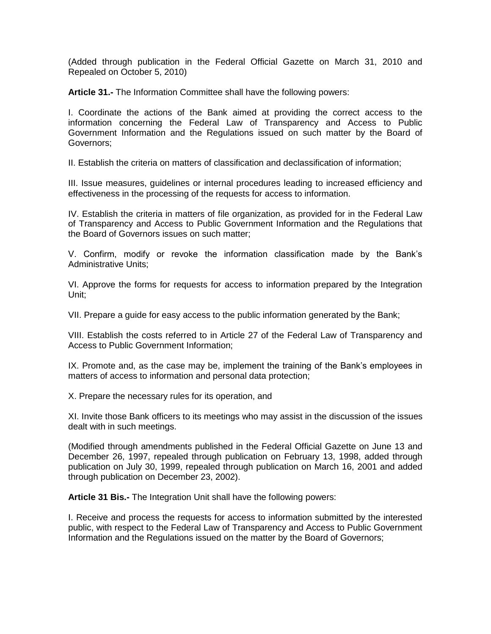(Added through publication in the Federal Official Gazette on March 31, 2010 and Repealed on October 5, 2010)

**Article 31.-** The Information Committee shall have the following powers:

I. Coordinate the actions of the Bank aimed at providing the correct access to the information concerning the Federal Law of Transparency and Access to Public Government Information and the Regulations issued on such matter by the Board of Governors;

II. Establish the criteria on matters of classification and declassification of information;

III. Issue measures, guidelines or internal procedures leading to increased efficiency and effectiveness in the processing of the requests for access to information.

IV. Establish the criteria in matters of file organization, as provided for in the Federal Law of Transparency and Access to Public Government Information and the Regulations that the Board of Governors issues on such matter;

V. Confirm, modify or revoke the information classification made by the Bank's Administrative Units;

VI. Approve the forms for requests for access to information prepared by the Integration Unit;

VII. Prepare a guide for easy access to the public information generated by the Bank;

VIII. Establish the costs referred to in Article 27 of the Federal Law of Transparency and Access to Public Government Information;

IX. Promote and, as the case may be, implement the training of the Bank's employees in matters of access to information and personal data protection;

X. Prepare the necessary rules for its operation, and

XI. Invite those Bank officers to its meetings who may assist in the discussion of the issues dealt with in such meetings.

(Modified through amendments published in the Federal Official Gazette on June 13 and December 26, 1997, repealed through publication on February 13, 1998, added through publication on July 30, 1999, repealed through publication on March 16, 2001 and added through publication on December 23, 2002).

**Article 31 Bis.-** The Integration Unit shall have the following powers:

I. Receive and process the requests for access to information submitted by the interested public, with respect to the Federal Law of Transparency and Access to Public Government Information and the Regulations issued on the matter by the Board of Governors;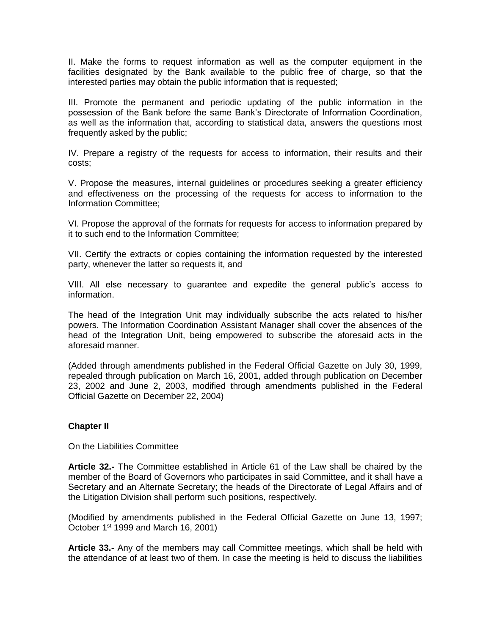II. Make the forms to request information as well as the computer equipment in the facilities designated by the Bank available to the public free of charge, so that the interested parties may obtain the public information that is requested;

III. Promote the permanent and periodic updating of the public information in the possession of the Bank before the same Bank's Directorate of Information Coordination, as well as the information that, according to statistical data, answers the questions most frequently asked by the public;

IV. Prepare a registry of the requests for access to information, their results and their costs;

V. Propose the measures, internal guidelines or procedures seeking a greater efficiency and effectiveness on the processing of the requests for access to information to the Information Committee;

VI. Propose the approval of the formats for requests for access to information prepared by it to such end to the Information Committee;

VII. Certify the extracts or copies containing the information requested by the interested party, whenever the latter so requests it, and

VIII. All else necessary to guarantee and expedite the general public's access to information.

The head of the Integration Unit may individually subscribe the acts related to his/her powers. The Information Coordination Assistant Manager shall cover the absences of the head of the Integration Unit, being empowered to subscribe the aforesaid acts in the aforesaid manner.

(Added through amendments published in the Federal Official Gazette on July 30, 1999, repealed through publication on March 16, 2001, added through publication on December 23, 2002 and June 2, 2003, modified through amendments published in the Federal Official Gazette on December 22, 2004)

#### **Chapter II**

On the Liabilities Committee

**Article 32.-** The Committee established in Article 61 of the Law shall be chaired by the member of the Board of Governors who participates in said Committee, and it shall have a Secretary and an Alternate Secretary; the heads of the Directorate of Legal Affairs and of the Litigation Division shall perform such positions, respectively.

(Modified by amendments published in the Federal Official Gazette on June 13, 1997; October 1<sup>st</sup> 1999 and March 16, 2001)

**Article 33.-** Any of the members may call Committee meetings, which shall be held with the attendance of at least two of them. In case the meeting is held to discuss the liabilities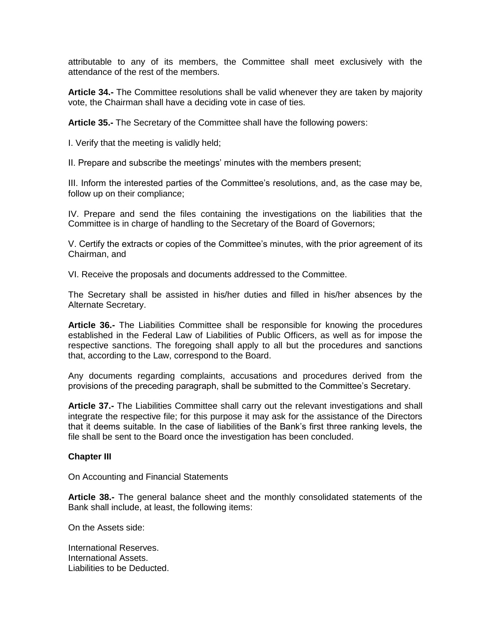attributable to any of its members, the Committee shall meet exclusively with the attendance of the rest of the members.

**Article 34.-** The Committee resolutions shall be valid whenever they are taken by majority vote, the Chairman shall have a deciding vote in case of ties.

**Article 35.-** The Secretary of the Committee shall have the following powers:

I. Verify that the meeting is validly held;

II. Prepare and subscribe the meetings' minutes with the members present;

III. Inform the interested parties of the Committee's resolutions, and, as the case may be, follow up on their compliance;

IV. Prepare and send the files containing the investigations on the liabilities that the Committee is in charge of handling to the Secretary of the Board of Governors;

V. Certify the extracts or copies of the Committee's minutes, with the prior agreement of its Chairman, and

VI. Receive the proposals and documents addressed to the Committee.

The Secretary shall be assisted in his/her duties and filled in his/her absences by the Alternate Secretary.

**Article 36.-** The Liabilities Committee shall be responsible for knowing the procedures established in the Federal Law of Liabilities of Public Officers, as well as for impose the respective sanctions. The foregoing shall apply to all but the procedures and sanctions that, according to the Law, correspond to the Board.

Any documents regarding complaints, accusations and procedures derived from the provisions of the preceding paragraph, shall be submitted to the Committee's Secretary.

**Article 37.-** The Liabilities Committee shall carry out the relevant investigations and shall integrate the respective file; for this purpose it may ask for the assistance of the Directors that it deems suitable. In the case of liabilities of the Bank's first three ranking levels, the file shall be sent to the Board once the investigation has been concluded.

#### **Chapter III**

On Accounting and Financial Statements

**Article 38.-** The general balance sheet and the monthly consolidated statements of the Bank shall include, at least, the following items:

On the Assets side:

International Reserves. International Assets. Liabilities to be Deducted.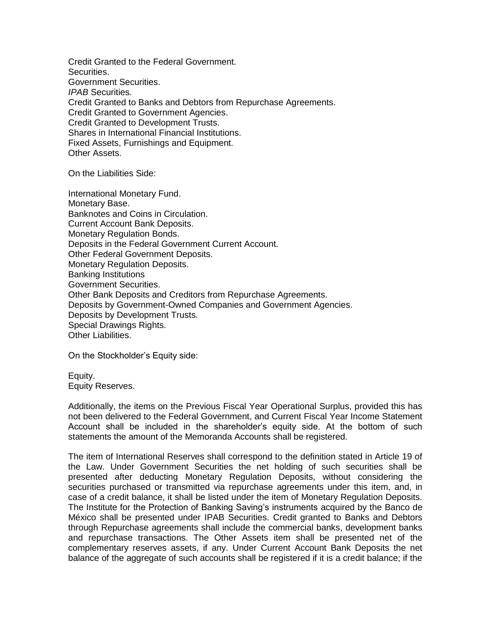Credit Granted to the Federal Government. Securities. Government Securities. *IPAB* Securities. Credit Granted to Banks and Debtors from Repurchase Agreements. Credit Granted to Government Agencies. Credit Granted to Development Trusts. Shares in International Financial Institutions. Fixed Assets, Furnishings and Equipment. Other Assets.

On the Liabilities Side:

International Monetary Fund. Monetary Base. Banknotes and Coins in Circulation. Current Account Bank Deposits. Monetary Regulation Bonds. Deposits in the Federal Government Current Account. Other Federal Government Deposits. Monetary Regulation Deposits. Banking Institutions Government Securities. Other Bank Deposits and Creditors from Repurchase Agreements. Deposits by Government-Owned Companies and Government Agencies. Deposits by Development Trusts. Special Drawings Rights. Other Liabilities.

On the Stockholder's Equity side:

Equity. Equity Reserves.

Additionally, the items on the Previous Fiscal Year Operational Surplus, provided this has not been delivered to the Federal Government, and Current Fiscal Year Income Statement Account shall be included in the shareholder's equity side. At the bottom of such statements the amount of the Memoranda Accounts shall be registered.

The item of International Reserves shall correspond to the definition stated in Article 19 of the Law. Under Government Securities the net holding of such securities shall be presented after deducting Monetary Regulation Deposits, without considering the securities purchased or transmitted via repurchase agreements under this item, and, in case of a credit balance, it shall be listed under the item of Monetary Regulation Deposits. The Institute for the Protection of Banking Saving's instruments acquired by the Banco de México shall be presented under IPAB Securities. Credit granted to Banks and Debtors through Repurchase agreements shall include the commercial banks, development banks and repurchase transactions. The Other Assets item shall be presented net of the complementary reserves assets, if any. Under Current Account Bank Deposits the net balance of the aggregate of such accounts shall be registered if it is a credit balance; if the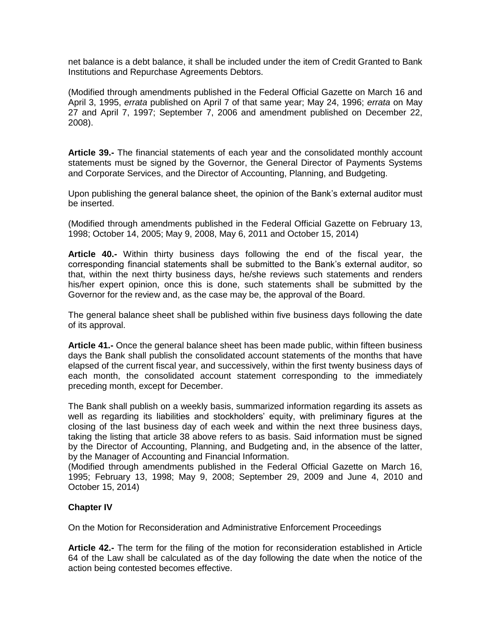net balance is a debt balance, it shall be included under the item of Credit Granted to Bank Institutions and Repurchase Agreements Debtors.

(Modified through amendments published in the Federal Official Gazette on March 16 and April 3, 1995, *errata* published on April 7 of that same year; May 24, 1996; *errata* on May 27 and April 7, 1997; September 7, 2006 and amendment published on December 22, 2008).

**Article 39.-** The financial statements of each year and the consolidated monthly account statements must be signed by the Governor, the General Director of Payments Systems and Corporate Services, and the Director of Accounting, Planning, and Budgeting.

Upon publishing the general balance sheet, the opinion of the Bank's external auditor must be inserted.

(Modified through amendments published in the Federal Official Gazette on February 13, 1998; October 14, 2005; May 9, 2008, May 6, 2011 and October 15, 2014)

**Article 40.-** Within thirty business days following the end of the fiscal year, the corresponding financial statements shall be submitted to the Bank's external auditor, so that, within the next thirty business days, he/she reviews such statements and renders his/her expert opinion, once this is done, such statements shall be submitted by the Governor for the review and, as the case may be, the approval of the Board.

The general balance sheet shall be published within five business days following the date of its approval.

**Article 41.-** Once the general balance sheet has been made public, within fifteen business days the Bank shall publish the consolidated account statements of the months that have elapsed of the current fiscal year, and successively, within the first twenty business days of each month, the consolidated account statement corresponding to the immediately preceding month, except for December.

The Bank shall publish on a weekly basis, summarized information regarding its assets as well as regarding its liabilities and stockholders' equity, with preliminary figures at the closing of the last business day of each week and within the next three business days, taking the listing that article 38 above refers to as basis. Said information must be signed by the Director of Accounting, Planning, and Budgeting and, in the absence of the latter, by the Manager of Accounting and Financial Information.

(Modified through amendments published in the Federal Official Gazette on March 16, 1995; February 13, 1998; May 9, 2008; September 29, 2009 and June 4, 2010 and October 15, 2014)

# **Chapter IV**

On the Motion for Reconsideration and Administrative Enforcement Proceedings

**Article 42.-** The term for the filing of the motion for reconsideration established in Article 64 of the Law shall be calculated as of the day following the date when the notice of the action being contested becomes effective.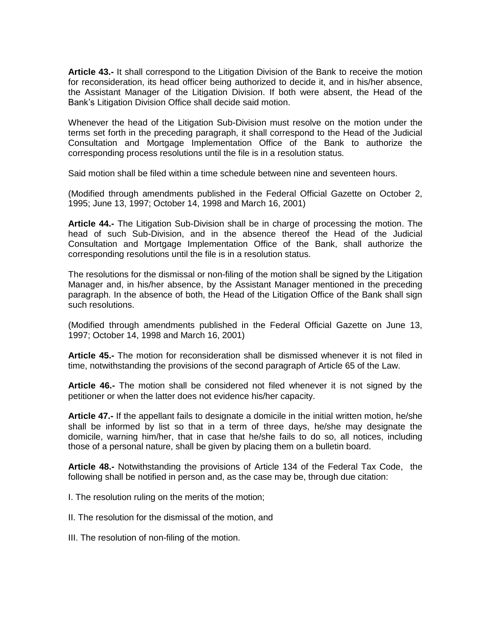**Article 43.-** It shall correspond to the Litigation Division of the Bank to receive the motion for reconsideration, its head officer being authorized to decide it, and in his/her absence, the Assistant Manager of the Litigation Division. If both were absent, the Head of the Bank's Litigation Division Office shall decide said motion.

Whenever the head of the Litigation Sub-Division must resolve on the motion under the terms set forth in the preceding paragraph, it shall correspond to the Head of the Judicial Consultation and Mortgage Implementation Office of the Bank to authorize the corresponding process resolutions until the file is in a resolution status.

Said motion shall be filed within a time schedule between nine and seventeen hours.

(Modified through amendments published in the Federal Official Gazette on October 2, 1995; June 13, 1997; October 14, 1998 and March 16, 2001)

**Article 44.-** The Litigation Sub-Division shall be in charge of processing the motion. The head of such Sub-Division, and in the absence thereof the Head of the Judicial Consultation and Mortgage Implementation Office of the Bank, shall authorize the corresponding resolutions until the file is in a resolution status.

The resolutions for the dismissal or non-filing of the motion shall be signed by the Litigation Manager and, in his/her absence, by the Assistant Manager mentioned in the preceding paragraph. In the absence of both, the Head of the Litigation Office of the Bank shall sign such resolutions.

(Modified through amendments published in the Federal Official Gazette on June 13, 1997; October 14, 1998 and March 16, 2001)

**Article 45.-** The motion for reconsideration shall be dismissed whenever it is not filed in time, notwithstanding the provisions of the second paragraph of Article 65 of the Law.

**Article 46.-** The motion shall be considered not filed whenever it is not signed by the petitioner or when the latter does not evidence his/her capacity.

**Article 47.-** If the appellant fails to designate a domicile in the initial written motion, he/she shall be informed by list so that in a term of three days, he/she may designate the domicile, warning him/her, that in case that he/she fails to do so, all notices, including those of a personal nature, shall be given by placing them on a bulletin board.

**Article 48.-** Notwithstanding the provisions of Article 134 of the Federal Tax Code, the following shall be notified in person and, as the case may be, through due citation:

I. The resolution ruling on the merits of the motion;

II. The resolution for the dismissal of the motion, and

III. The resolution of non-filing of the motion.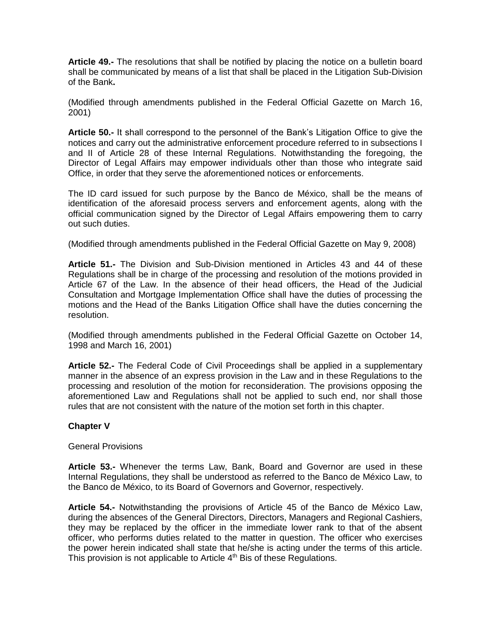**Article 49.-** The resolutions that shall be notified by placing the notice on a bulletin board shall be communicated by means of a list that shall be placed in the Litigation Sub-Division of the Bank**.**

(Modified through amendments published in the Federal Official Gazette on March 16, 2001)

**Article 50.-** It shall correspond to the personnel of the Bank's Litigation Office to give the notices and carry out the administrative enforcement procedure referred to in subsections I and II of Article 28 of these Internal Regulations. Notwithstanding the foregoing, the Director of Legal Affairs may empower individuals other than those who integrate said Office, in order that they serve the aforementioned notices or enforcements.

The ID card issued for such purpose by the Banco de México, shall be the means of identification of the aforesaid process servers and enforcement agents, along with the official communication signed by the Director of Legal Affairs empowering them to carry out such duties.

(Modified through amendments published in the Federal Official Gazette on May 9, 2008)

**Article 51.-** The Division and Sub-Division mentioned in Articles 43 and 44 of these Regulations shall be in charge of the processing and resolution of the motions provided in Article 67 of the Law. In the absence of their head officers, the Head of the Judicial Consultation and Mortgage Implementation Office shall have the duties of processing the motions and the Head of the Banks Litigation Office shall have the duties concerning the resolution.

(Modified through amendments published in the Federal Official Gazette on October 14, 1998 and March 16, 2001)

**Article 52.-** The Federal Code of Civil Proceedings shall be applied in a supplementary manner in the absence of an express provision in the Law and in these Regulations to the processing and resolution of the motion for reconsideration. The provisions opposing the aforementioned Law and Regulations shall not be applied to such end, nor shall those rules that are not consistent with the nature of the motion set forth in this chapter.

# **Chapter V**

#### General Provisions

**Article 53.-** Whenever the terms Law, Bank, Board and Governor are used in these Internal Regulations, they shall be understood as referred to the Banco de México Law, to the Banco de México, to its Board of Governors and Governor, respectively.

**Article 54.-** Notwithstanding the provisions of Article 45 of the Banco de México Law, during the absences of the General Directors, Directors, Managers and Regional Cashiers, they may be replaced by the officer in the immediate lower rank to that of the absent officer, who performs duties related to the matter in question. The officer who exercises the power herein indicated shall state that he/she is acting under the terms of this article. This provision is not applicable to Article 4<sup>th</sup> Bis of these Regulations.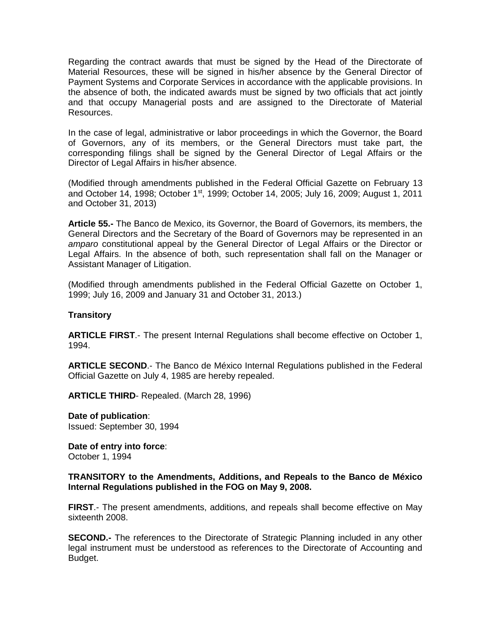Regarding the contract awards that must be signed by the Head of the Directorate of Material Resources, these will be signed in his/her absence by the General Director of Payment Systems and Corporate Services in accordance with the applicable provisions. In the absence of both, the indicated awards must be signed by two officials that act jointly and that occupy Managerial posts and are assigned to the Directorate of Material Resources.

In the case of legal, administrative or labor proceedings in which the Governor, the Board of Governors, any of its members, or the General Directors must take part, the corresponding filings shall be signed by the General Director of Legal Affairs or the Director of Legal Affairs in his/her absence.

(Modified through amendments published in the Federal Official Gazette on February 13 and October 14, 1998; October 1<sup>st</sup>, 1999; October 14, 2005; July 16, 2009; August 1, 2011 and October 31, 2013)

**Article 55.-** The Banco de Mexico, its Governor, the Board of Governors, its members, the General Directors and the Secretary of the Board of Governors may be represented in an *amparo* constitutional appeal by the General Director of Legal Affairs or the Director or Legal Affairs. In the absence of both, such representation shall fall on the Manager or Assistant Manager of Litigation.

(Modified through amendments published in the Federal Official Gazette on October 1, 1999; July 16, 2009 and January 31 and October 31, 2013.)

### **Transitory**

**ARTICLE FIRST**.- The present Internal Regulations shall become effective on October 1, 1994.

**ARTICLE SECOND**.- The Banco de México Internal Regulations published in the Federal Official Gazette on July 4, 1985 are hereby repealed.

**ARTICLE THIRD**- Repealed. (March 28, 1996)

**Date of publication**: Issued: September 30, 1994

**Date of entry into force**: October 1, 1994

## **TRANSITORY to the Amendments, Additions, and Repeals to the Banco de México Internal Regulations published in the FOG on May 9, 2008.**

**FIRST**.- The present amendments, additions, and repeals shall become effective on May sixteenth 2008.

**SECOND.**- The references to the Directorate of Strategic Planning included in any other legal instrument must be understood as references to the Directorate of Accounting and Budget.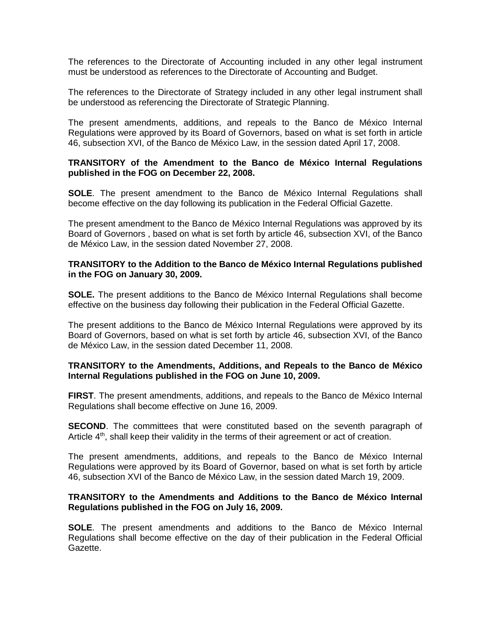The references to the Directorate of Accounting included in any other legal instrument must be understood as references to the Directorate of Accounting and Budget.

The references to the Directorate of Strategy included in any other legal instrument shall be understood as referencing the Directorate of Strategic Planning.

The present amendments, additions, and repeals to the Banco de México Internal Regulations were approved by its Board of Governors, based on what is set forth in article 46, subsection XVI, of the Banco de México Law, in the session dated April 17, 2008.

#### **TRANSITORY of the Amendment to the Banco de México Internal Regulations published in the FOG on December 22, 2008.**

**SOLE**. The present amendment to the Banco de México Internal Regulations shall become effective on the day following its publication in the Federal Official Gazette.

The present amendment to the Banco de México Internal Regulations was approved by its Board of Governors , based on what is set forth by article 46, subsection XVI, of the Banco de México Law, in the session dated November 27, 2008.

#### **TRANSITORY to the Addition to the Banco de México Internal Regulations published in the FOG on January 30, 2009.**

**SOLE.** The present additions to the Banco de México Internal Regulations shall become effective on the business day following their publication in the Federal Official Gazette.

The present additions to the Banco de México Internal Regulations were approved by its Board of Governors, based on what is set forth by article 46, subsection XVI, of the Banco de México Law, in the session dated December 11, 2008.

## **TRANSITORY to the Amendments, Additions, and Repeals to the Banco de México Internal Regulations published in the FOG on June 10, 2009.**

**FIRST**. The present amendments, additions, and repeals to the Banco de México Internal Regulations shall become effective on June 16, 2009.

**SECOND**. The committees that were constituted based on the seventh paragraph of Article  $4<sup>th</sup>$ , shall keep their validity in the terms of their agreement or act of creation.

The present amendments, additions, and repeals to the Banco de México Internal Regulations were approved by its Board of Governor, based on what is set forth by article 46, subsection XVI of the Banco de México Law, in the session dated March 19, 2009.

#### **TRANSITORY to the Amendments and Additions to the Banco de México Internal Regulations published in the FOG on July 16, 2009.**

**SOLE**. The present amendments and additions to the Banco de México Internal Regulations shall become effective on the day of their publication in the Federal Official Gazette.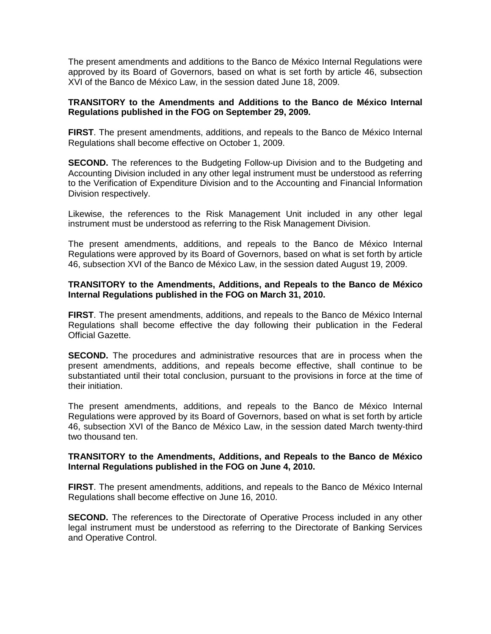The present amendments and additions to the Banco de México Internal Regulations were approved by its Board of Governors, based on what is set forth by article 46, subsection XVI of the Banco de México Law, in the session dated June 18, 2009.

### **TRANSITORY to the Amendments and Additions to the Banco de México Internal Regulations published in the FOG on September 29, 2009.**

**FIRST**. The present amendments, additions, and repeals to the Banco de México Internal Regulations shall become effective on October 1, 2009.

**SECOND.** The references to the Budgeting Follow-up Division and to the Budgeting and Accounting Division included in any other legal instrument must be understood as referring to the Verification of Expenditure Division and to the Accounting and Financial Information Division respectively.

Likewise, the references to the Risk Management Unit included in any other legal instrument must be understood as referring to the Risk Management Division.

The present amendments, additions, and repeals to the Banco de México Internal Regulations were approved by its Board of Governors, based on what is set forth by article 46, subsection XVI of the Banco de México Law, in the session dated August 19, 2009.

### **TRANSITORY to the Amendments, Additions, and Repeals to the Banco de México Internal Regulations published in the FOG on March 31, 2010.**

**FIRST**. The present amendments, additions, and repeals to the Banco de México Internal Regulations shall become effective the day following their publication in the Federal Official Gazette.

**SECOND.** The procedures and administrative resources that are in process when the present amendments, additions, and repeals become effective, shall continue to be substantiated until their total conclusion, pursuant to the provisions in force at the time of their initiation.

The present amendments, additions, and repeals to the Banco de México Internal Regulations were approved by its Board of Governors, based on what is set forth by article 46, subsection XVI of the Banco de México Law, in the session dated March twenty-third two thousand ten.

## **TRANSITORY to the Amendments, Additions, and Repeals to the Banco de México Internal Regulations published in the FOG on June 4, 2010.**

**FIRST**. The present amendments, additions, and repeals to the Banco de México Internal Regulations shall become effective on June 16, 2010.

**SECOND.** The references to the Directorate of Operative Process included in any other legal instrument must be understood as referring to the Directorate of Banking Services and Operative Control.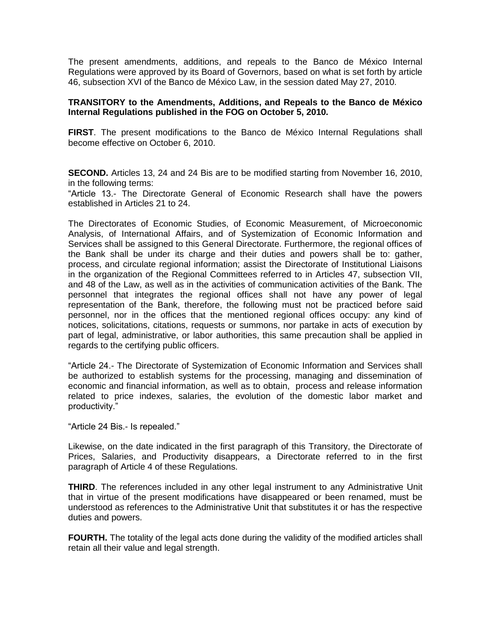The present amendments, additions, and repeals to the Banco de México Internal Regulations were approved by its Board of Governors, based on what is set forth by article 46, subsection XVI of the Banco de México Law, in the session dated May 27, 2010.

### **TRANSITORY to the Amendments, Additions, and Repeals to the Banco de México Internal Regulations published in the FOG on October 5, 2010.**

**FIRST**. The present modifications to the Banco de México Internal Regulations shall become effective on October 6, 2010.

**SECOND.** Articles 13, 24 and 24 Bis are to be modified starting from November 16, 2010, in the following terms:

"Article 13.- The Directorate General of Economic Research shall have the powers established in Articles 21 to 24.

The Directorates of Economic Studies, of Economic Measurement, of Microeconomic Analysis, of International Affairs, and of Systemization of Economic Information and Services shall be assigned to this General Directorate. Furthermore, the regional offices of the Bank shall be under its charge and their duties and powers shall be to: gather, process, and circulate regional information; assist the Directorate of Institutional Liaisons in the organization of the Regional Committees referred to in Articles 47, subsection VII, and 48 of the Law, as well as in the activities of communication activities of the Bank. The personnel that integrates the regional offices shall not have any power of legal representation of the Bank, therefore, the following must not be practiced before said personnel, nor in the offices that the mentioned regional offices occupy: any kind of notices, solicitations, citations, requests or summons, nor partake in acts of execution by part of legal, administrative, or labor authorities, this same precaution shall be applied in regards to the certifying public officers.

"Article 24.- The Directorate of Systemization of Economic Information and Services shall be authorized to establish systems for the processing, managing and dissemination of economic and financial information, as well as to obtain, process and release information related to price indexes, salaries, the evolution of the domestic labor market and productivity."

"Article 24 Bis.- Is repealed."

Likewise, on the date indicated in the first paragraph of this Transitory, the Directorate of Prices, Salaries, and Productivity disappears, a Directorate referred to in the first paragraph of Article 4 of these Regulations.

**THIRD**. The references included in any other legal instrument to any Administrative Unit that in virtue of the present modifications have disappeared or been renamed, must be understood as references to the Administrative Unit that substitutes it or has the respective duties and powers.

**FOURTH.** The totality of the legal acts done during the validity of the modified articles shall retain all their value and legal strength.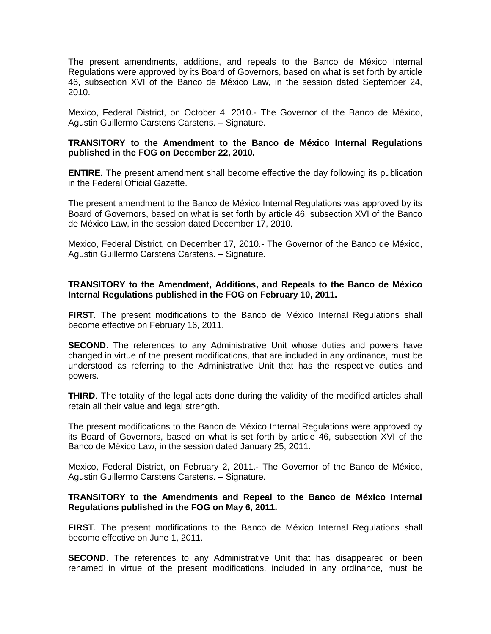The present amendments, additions, and repeals to the Banco de México Internal Regulations were approved by its Board of Governors, based on what is set forth by article 46, subsection XVI of the Banco de México Law, in the session dated September 24, 2010.

Mexico, Federal District, on October 4, 2010.- The Governor of the Banco de México, Agustin Guillermo Carstens Carstens. – Signature.

### **TRANSITORY to the Amendment to the Banco de México Internal Regulations published in the FOG on December 22, 2010.**

**ENTIRE.** The present amendment shall become effective the day following its publication in the Federal Official Gazette.

The present amendment to the Banco de México Internal Regulations was approved by its Board of Governors, based on what is set forth by article 46, subsection XVI of the Banco de México Law, in the session dated December 17, 2010.

Mexico, Federal District, on December 17, 2010.- The Governor of the Banco de México, Agustin Guillermo Carstens Carstens. – Signature.

## **TRANSITORY to the Amendment, Additions, and Repeals to the Banco de México Internal Regulations published in the FOG on February 10, 2011.**

**FIRST**. The present modifications to the Banco de México Internal Regulations shall become effective on February 16, 2011.

**SECOND**. The references to any Administrative Unit whose duties and powers have changed in virtue of the present modifications, that are included in any ordinance, must be understood as referring to the Administrative Unit that has the respective duties and powers.

**THIRD**. The totality of the legal acts done during the validity of the modified articles shall retain all their value and legal strength.

The present modifications to the Banco de México Internal Regulations were approved by its Board of Governors, based on what is set forth by article 46, subsection XVI of the Banco de México Law, in the session dated January 25, 2011.

Mexico, Federal District, on February 2, 2011.- The Governor of the Banco de México, Agustin Guillermo Carstens Carstens. – Signature.

#### **TRANSITORY to the Amendments and Repeal to the Banco de México Internal Regulations published in the FOG on May 6, 2011.**

**FIRST**. The present modifications to the Banco de México Internal Regulations shall become effective on June 1, 2011.

**SECOND**. The references to any Administrative Unit that has disappeared or been renamed in virtue of the present modifications, included in any ordinance, must be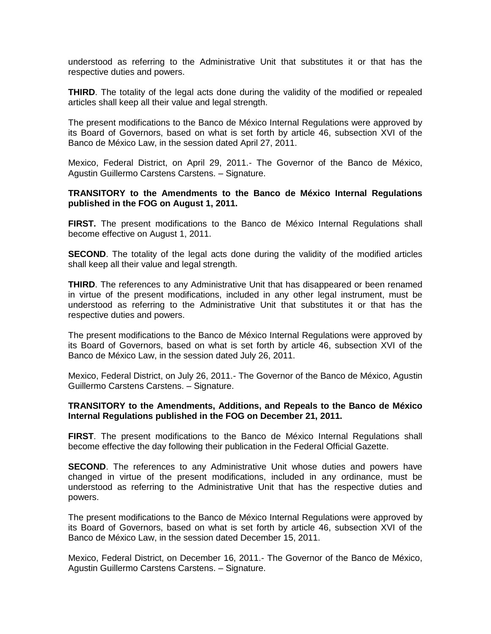understood as referring to the Administrative Unit that substitutes it or that has the respective duties and powers.

**THIRD**. The totality of the legal acts done during the validity of the modified or repealed articles shall keep all their value and legal strength.

The present modifications to the Banco de México Internal Regulations were approved by its Board of Governors, based on what is set forth by article 46, subsection XVI of the Banco de México Law, in the session dated April 27, 2011.

Mexico, Federal District, on April 29, 2011.- The Governor of the Banco de México, Agustin Guillermo Carstens Carstens. – Signature.

#### **TRANSITORY to the Amendments to the Banco de México Internal Regulations published in the FOG on August 1, 2011.**

**FIRST.** The present modifications to the Banco de México Internal Regulations shall become effective on August 1, 2011.

**SECOND**. The totality of the legal acts done during the validity of the modified articles shall keep all their value and legal strength.

**THIRD**. The references to any Administrative Unit that has disappeared or been renamed in virtue of the present modifications, included in any other legal instrument, must be understood as referring to the Administrative Unit that substitutes it or that has the respective duties and powers.

The present modifications to the Banco de México Internal Regulations were approved by its Board of Governors, based on what is set forth by article 46, subsection XVI of the Banco de México Law, in the session dated July 26, 2011.

Mexico, Federal District, on July 26, 2011.- The Governor of the Banco de México, Agustin Guillermo Carstens Carstens. – Signature.

#### **TRANSITORY to the Amendments, Additions, and Repeals to the Banco de México Internal Regulations published in the FOG on December 21, 2011.**

**FIRST**. The present modifications to the Banco de México Internal Regulations shall become effective the day following their publication in the Federal Official Gazette.

**SECOND**. The references to any Administrative Unit whose duties and powers have changed in virtue of the present modifications, included in any ordinance, must be understood as referring to the Administrative Unit that has the respective duties and powers.

The present modifications to the Banco de México Internal Regulations were approved by its Board of Governors, based on what is set forth by article 46, subsection XVI of the Banco de México Law, in the session dated December 15, 2011.

Mexico, Federal District, on December 16, 2011.- The Governor of the Banco de México, Agustin Guillermo Carstens Carstens. – Signature.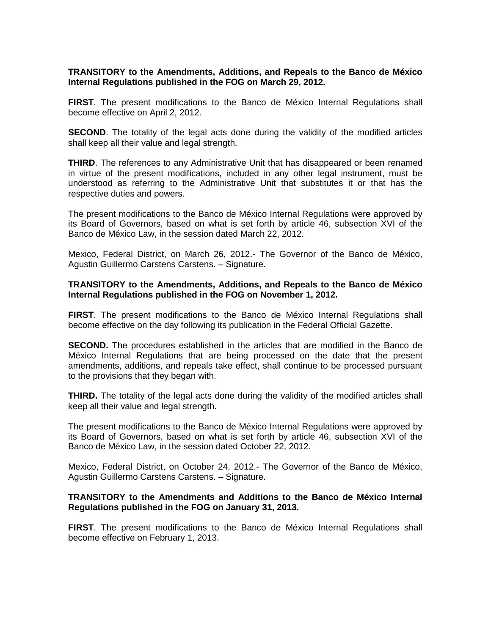#### **TRANSITORY to the Amendments, Additions, and Repeals to the Banco de México Internal Regulations published in the FOG on March 29, 2012.**

**FIRST**. The present modifications to the Banco de México Internal Regulations shall become effective on April 2, 2012.

**SECOND**. The totality of the legal acts done during the validity of the modified articles shall keep all their value and legal strength.

**THIRD**. The references to any Administrative Unit that has disappeared or been renamed in virtue of the present modifications, included in any other legal instrument, must be understood as referring to the Administrative Unit that substitutes it or that has the respective duties and powers.

The present modifications to the Banco de México Internal Regulations were approved by its Board of Governors, based on what is set forth by article 46, subsection XVI of the Banco de México Law, in the session dated March 22, 2012.

Mexico, Federal District, on March 26, 2012.- The Governor of the Banco de México, Agustin Guillermo Carstens Carstens. – Signature.

#### **TRANSITORY to the Amendments, Additions, and Repeals to the Banco de México Internal Regulations published in the FOG on November 1, 2012.**

**FIRST**. The present modifications to the Banco de México Internal Regulations shall become effective on the day following its publication in the Federal Official Gazette.

**SECOND.** The procedures established in the articles that are modified in the Banco de México Internal Regulations that are being processed on the date that the present amendments, additions, and repeals take effect, shall continue to be processed pursuant to the provisions that they began with.

**THIRD.** The totality of the legal acts done during the validity of the modified articles shall keep all their value and legal strength.

The present modifications to the Banco de México Internal Regulations were approved by its Board of Governors, based on what is set forth by article 46, subsection XVI of the Banco de México Law, in the session dated October 22, 2012.

Mexico, Federal District, on October 24, 2012.- The Governor of the Banco de México, Agustin Guillermo Carstens Carstens. – Signature.

### **TRANSITORY to the Amendments and Additions to the Banco de México Internal Regulations published in the FOG on January 31, 2013.**

**FIRST**. The present modifications to the Banco de México Internal Regulations shall become effective on February 1, 2013.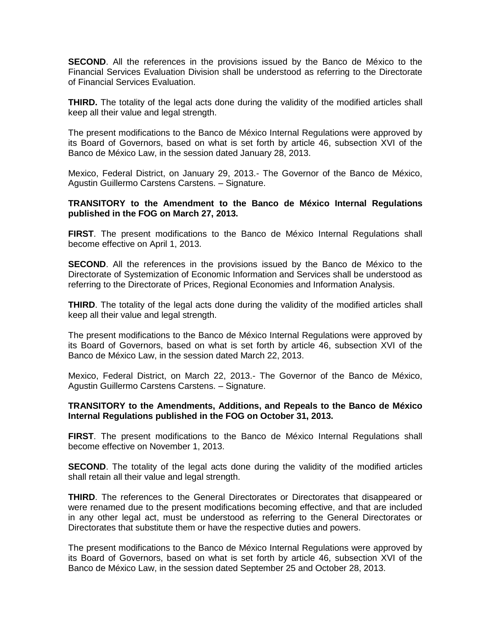**SECOND**. All the references in the provisions issued by the Banco de México to the Financial Services Evaluation Division shall be understood as referring to the Directorate of Financial Services Evaluation.

**THIRD.** The totality of the legal acts done during the validity of the modified articles shall keep all their value and legal strength.

The present modifications to the Banco de México Internal Regulations were approved by its Board of Governors, based on what is set forth by article 46, subsection XVI of the Banco de México Law, in the session dated January 28, 2013.

Mexico, Federal District, on January 29, 2013.- The Governor of the Banco de México, Agustin Guillermo Carstens Carstens. – Signature.

#### **TRANSITORY to the Amendment to the Banco de México Internal Regulations published in the FOG on March 27, 2013.**

**FIRST**. The present modifications to the Banco de México Internal Regulations shall become effective on April 1, 2013.

**SECOND**. All the references in the provisions issued by the Banco de México to the Directorate of Systemization of Economic Information and Services shall be understood as referring to the Directorate of Prices, Regional Economies and Information Analysis.

**THIRD**. The totality of the legal acts done during the validity of the modified articles shall keep all their value and legal strength.

The present modifications to the Banco de México Internal Regulations were approved by its Board of Governors, based on what is set forth by article 46, subsection XVI of the Banco de México Law, in the session dated March 22, 2013.

Mexico, Federal District, on March 22, 2013.- The Governor of the Banco de México, Agustin Guillermo Carstens Carstens. – Signature.

## **TRANSITORY to the Amendments, Additions, and Repeals to the Banco de México Internal Regulations published in the FOG on October 31, 2013.**

**FIRST**. The present modifications to the Banco de México Internal Regulations shall become effective on November 1, 2013.

**SECOND**. The totality of the legal acts done during the validity of the modified articles shall retain all their value and legal strength.

**THIRD**. The references to the General Directorates or Directorates that disappeared or were renamed due to the present modifications becoming effective, and that are included in any other legal act, must be understood as referring to the General Directorates or Directorates that substitute them or have the respective duties and powers.

The present modifications to the Banco de México Internal Regulations were approved by its Board of Governors, based on what is set forth by article 46, subsection XVI of the Banco de México Law, in the session dated September 25 and October 28, 2013.